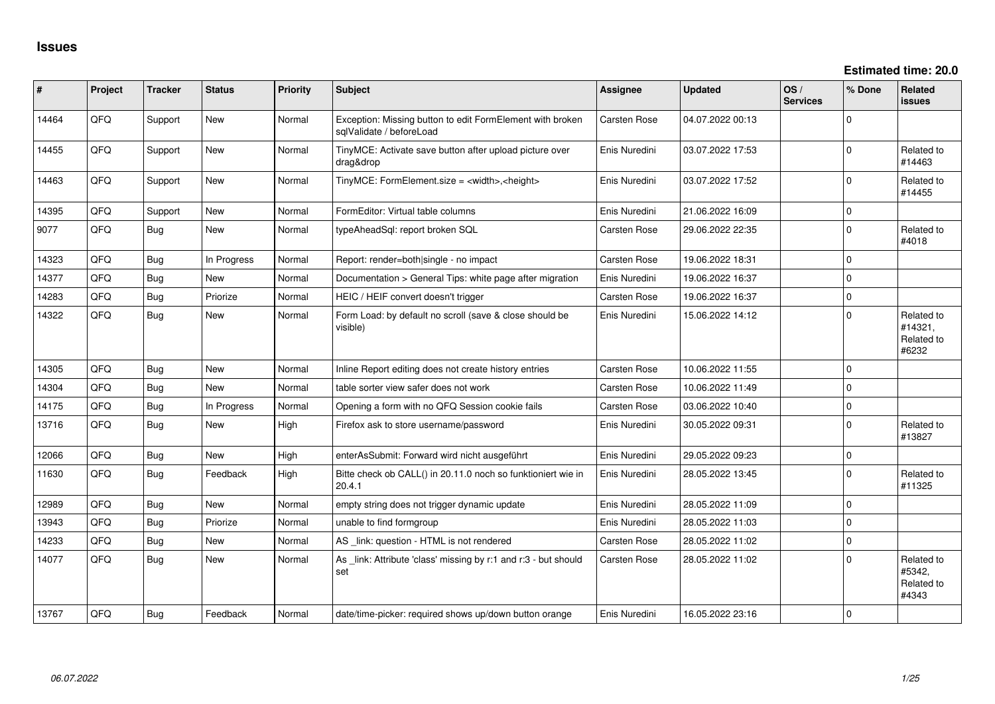| #     | Project | <b>Tracker</b> | <b>Status</b> | <b>Priority</b> | <b>Subject</b>                                                                        | <b>Assignee</b> | <b>Updated</b>   | OS/<br><b>Services</b> | % Done      | Related<br><b>issues</b>                     |
|-------|---------|----------------|---------------|-----------------|---------------------------------------------------------------------------------------|-----------------|------------------|------------------------|-------------|----------------------------------------------|
| 14464 | QFQ     | Support        | New           | Normal          | Exception: Missing button to edit FormElement with broken<br>sqlValidate / beforeLoad | Carsten Rose    | 04.07.2022 00:13 |                        | $\mathbf 0$ |                                              |
| 14455 | QFQ     | Support        | New           | Normal          | TinyMCE: Activate save button after upload picture over<br>drag&drop                  | Enis Nuredini   | 03.07.2022 17:53 |                        | $\Omega$    | Related to<br>#14463                         |
| 14463 | QFQ     | Support        | New           | Normal          | TinyMCE: FormElement.size = <width>,<height></height></width>                         | Enis Nuredini   | 03.07.2022 17:52 |                        | $\Omega$    | Related to<br>#14455                         |
| 14395 | QFQ     | Support        | New           | Normal          | FormEditor: Virtual table columns                                                     | Enis Nuredini   | 21.06.2022 16:09 |                        | $\mathbf 0$ |                                              |
| 9077  | QFQ     | <b>Bug</b>     | New           | Normal          | typeAheadSql: report broken SQL                                                       | Carsten Rose    | 29.06.2022 22:35 |                        | $\mathbf 0$ | Related to<br>#4018                          |
| 14323 | QFQ     | Bug            | In Progress   | Normal          | Report: render=both single - no impact                                                | Carsten Rose    | 19.06.2022 18:31 |                        | $\Omega$    |                                              |
| 14377 | QFQ     | Bug            | <b>New</b>    | Normal          | Documentation > General Tips: white page after migration                              | Enis Nuredini   | 19.06.2022 16:37 |                        | $\mathbf 0$ |                                              |
| 14283 | QFQ     | Bug            | Priorize      | Normal          | HEIC / HEIF convert doesn't trigger                                                   | Carsten Rose    | 19.06.2022 16:37 |                        | $\mathbf 0$ |                                              |
| 14322 | QFQ     | Bug            | New           | Normal          | Form Load: by default no scroll (save & close should be<br>visible)                   | Enis Nuredini   | 15.06.2022 14:12 |                        | $\Omega$    | Related to<br>#14321,<br>Related to<br>#6232 |
| 14305 | QFQ     | Bug            | <b>New</b>    | Normal          | Inline Report editing does not create history entries                                 | Carsten Rose    | 10.06.2022 11:55 |                        | $\mathbf 0$ |                                              |
| 14304 | QFQ     | Bug            | New           | Normal          | table sorter view safer does not work                                                 | Carsten Rose    | 10.06.2022 11:49 |                        | $\mathbf 0$ |                                              |
| 14175 | QFQ     | Bug            | In Progress   | Normal          | Opening a form with no QFQ Session cookie fails                                       | Carsten Rose    | 03.06.2022 10:40 |                        | $\mathbf 0$ |                                              |
| 13716 | QFQ     | <b>Bug</b>     | <b>New</b>    | High            | Firefox ask to store username/password                                                | Enis Nuredini   | 30.05.2022 09:31 |                        | $\Omega$    | Related to<br>#13827                         |
| 12066 | QFQ     | Bug            | New           | High            | enterAsSubmit: Forward wird nicht ausgeführt                                          | Enis Nuredini   | 29.05.2022 09:23 |                        | $\pmb{0}$   |                                              |
| 11630 | QFQ     | Bug            | Feedback      | High            | Bitte check ob CALL() in 20.11.0 noch so funktioniert wie in<br>20.4.1                | Enis Nuredini   | 28.05.2022 13:45 |                        | $\mathbf 0$ | Related to<br>#11325                         |
| 12989 | QFQ     | Bug            | <b>New</b>    | Normal          | empty string does not trigger dynamic update                                          | Enis Nuredini   | 28.05.2022 11:09 |                        | $\mathbf 0$ |                                              |
| 13943 | QFQ     | Bug            | Priorize      | Normal          | unable to find formgroup                                                              | Enis Nuredini   | 28.05.2022 11:03 |                        | $\mathbf 0$ |                                              |
| 14233 | QFQ     | Bug            | <b>New</b>    | Normal          | AS _link: question - HTML is not rendered                                             | Carsten Rose    | 28.05.2022 11:02 |                        | $\mathbf 0$ |                                              |
| 14077 | QFQ     | Bug            | New           | Normal          | As link: Attribute 'class' missing by r:1 and r:3 - but should<br>set                 | Carsten Rose    | 28.05.2022 11:02 |                        | $\Omega$    | Related to<br>#5342.<br>Related to<br>#4343  |
| 13767 | QFQ     | Bug            | Feedback      | Normal          | date/time-picker: required shows up/down button orange                                | Enis Nuredini   | 16.05.2022 23:16 |                        | $\mathbf 0$ |                                              |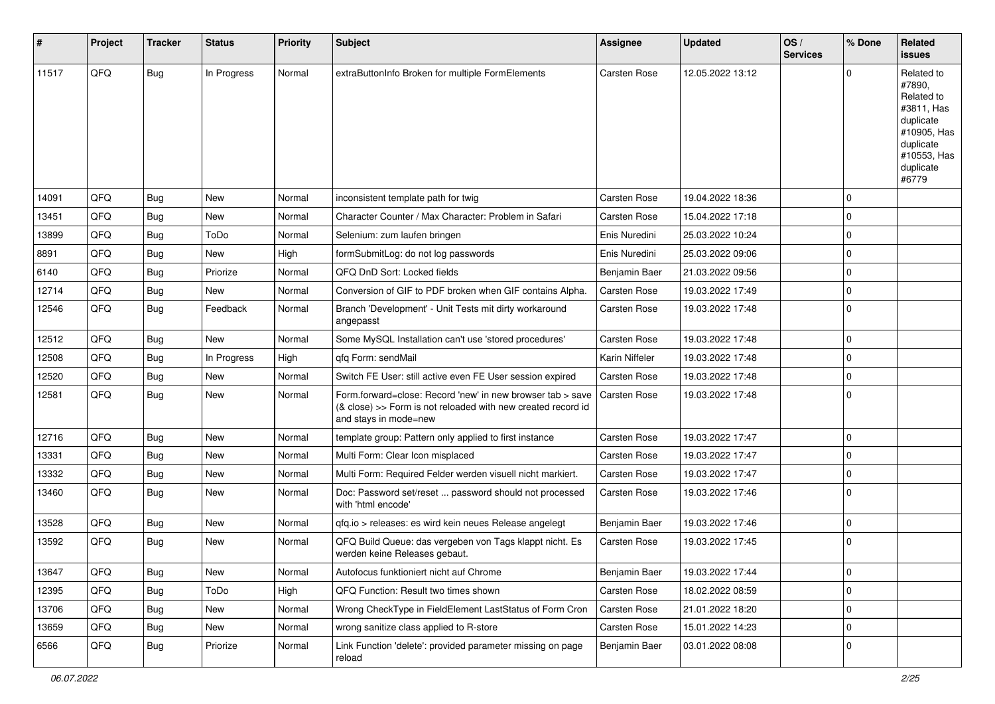| #     | Project | <b>Tracker</b> | <b>Status</b> | <b>Priority</b> | <b>Subject</b>                                                                                                                                      | <b>Assignee</b>     | <b>Updated</b>   | OS/<br><b>Services</b> | % Done      | Related<br><b>issues</b>                                                                                                       |
|-------|---------|----------------|---------------|-----------------|-----------------------------------------------------------------------------------------------------------------------------------------------------|---------------------|------------------|------------------------|-------------|--------------------------------------------------------------------------------------------------------------------------------|
| 11517 | QFQ     | Bug            | In Progress   | Normal          | extraButtonInfo Broken for multiple FormElements                                                                                                    | <b>Carsten Rose</b> | 12.05.2022 13:12 |                        | $\Omega$    | Related to<br>#7890,<br>Related to<br>#3811, Has<br>duplicate<br>#10905, Has<br>duplicate<br>#10553, Has<br>duplicate<br>#6779 |
| 14091 | QFQ     | <b>Bug</b>     | <b>New</b>    | Normal          | inconsistent template path for twig                                                                                                                 | <b>Carsten Rose</b> | 19.04.2022 18:36 |                        | $\Omega$    |                                                                                                                                |
| 13451 | QFQ     | <b>Bug</b>     | New           | Normal          | Character Counter / Max Character: Problem in Safari                                                                                                | Carsten Rose        | 15.04.2022 17:18 |                        | $\mathbf 0$ |                                                                                                                                |
| 13899 | QFQ     | Bug            | ToDo          | Normal          | Selenium: zum laufen bringen                                                                                                                        | Enis Nuredini       | 25.03.2022 10:24 |                        | $\Omega$    |                                                                                                                                |
| 8891  | QFQ     | <b>Bug</b>     | New           | High            | formSubmitLog: do not log passwords                                                                                                                 | Enis Nuredini       | 25.03.2022 09:06 |                        | $\mathbf 0$ |                                                                                                                                |
| 6140  | QFQ     | <b>Bug</b>     | Priorize      | Normal          | QFQ DnD Sort: Locked fields                                                                                                                         | Benjamin Baer       | 21.03.2022 09:56 |                        | $\mathbf 0$ |                                                                                                                                |
| 12714 | QFQ     | Bug            | New           | Normal          | Conversion of GIF to PDF broken when GIF contains Alpha.                                                                                            | <b>Carsten Rose</b> | 19.03.2022 17:49 |                        | $\mathbf 0$ |                                                                                                                                |
| 12546 | QFQ     | <b>Bug</b>     | Feedback      | Normal          | Branch 'Development' - Unit Tests mit dirty workaround<br>angepasst                                                                                 | Carsten Rose        | 19.03.2022 17:48 |                        | $\mathbf 0$ |                                                                                                                                |
| 12512 | QFQ     | Bug            | <b>New</b>    | Normal          | Some MySQL Installation can't use 'stored procedures'                                                                                               | <b>Carsten Rose</b> | 19.03.2022 17:48 |                        | $\mathbf 0$ |                                                                                                                                |
| 12508 | QFQ     | <b>Bug</b>     | In Progress   | High            | qfq Form: sendMail                                                                                                                                  | Karin Niffeler      | 19.03.2022 17:48 |                        | $\mathbf 0$ |                                                                                                                                |
| 12520 | QFQ     | Bug            | New           | Normal          | Switch FE User: still active even FE User session expired                                                                                           | Carsten Rose        | 19.03.2022 17:48 |                        | $\mathbf 0$ |                                                                                                                                |
| 12581 | QFQ     | Bug            | New           | Normal          | Form.forward=close: Record 'new' in new browser tab > save<br>(& close) >> Form is not reloaded with new created record id<br>and stays in mode=new | <b>Carsten Rose</b> | 19.03.2022 17:48 |                        | $\Omega$    |                                                                                                                                |
| 12716 | QFQ     | <b>Bug</b>     | <b>New</b>    | Normal          | template group: Pattern only applied to first instance                                                                                              | Carsten Rose        | 19.03.2022 17:47 |                        | $\Omega$    |                                                                                                                                |
| 13331 | QFQ     | <b>Bug</b>     | New           | Normal          | Multi Form: Clear Icon misplaced                                                                                                                    | <b>Carsten Rose</b> | 19.03.2022 17:47 |                        | $\mathbf 0$ |                                                                                                                                |
| 13332 | QFQ     | Bug            | New           | Normal          | Multi Form: Required Felder werden visuell nicht markiert.                                                                                          | <b>Carsten Rose</b> | 19.03.2022 17:47 |                        | $\mathbf 0$ |                                                                                                                                |
| 13460 | QFQ     | Bug            | New           | Normal          | Doc: Password set/reset  password should not processed<br>with 'html encode'                                                                        | Carsten Rose        | 19.03.2022 17:46 |                        | $\mathbf 0$ |                                                                                                                                |
| 13528 | QFQ     | <b>Bug</b>     | New           | Normal          | gfg.io > releases: es wird kein neues Release angelegt                                                                                              | Benjamin Baer       | 19.03.2022 17:46 |                        | $\mathbf 0$ |                                                                                                                                |
| 13592 | QFQ     | Bug            | New           | Normal          | QFQ Build Queue: das vergeben von Tags klappt nicht. Es<br>werden keine Releases gebaut.                                                            | Carsten Rose        | 19.03.2022 17:45 |                        | $\mathbf 0$ |                                                                                                                                |
| 13647 | QFQ     | <b>Bug</b>     | New           | Normal          | Autofocus funktioniert nicht auf Chrome                                                                                                             | Benjamin Baer       | 19.03.2022 17:44 |                        | $\mathbf 0$ |                                                                                                                                |
| 12395 | QFQ     | <b>Bug</b>     | ToDo          | High            | QFQ Function: Result two times shown                                                                                                                | Carsten Rose        | 18.02.2022 08:59 |                        | $\mathbf 0$ |                                                                                                                                |
| 13706 | QFQ     | <b>Bug</b>     | New           | Normal          | Wrong CheckType in FieldElement LastStatus of Form Cron                                                                                             | Carsten Rose        | 21.01.2022 18:20 |                        | 0           |                                                                                                                                |
| 13659 | QFQ     | Bug            | New           | Normal          | wrong sanitize class applied to R-store                                                                                                             | Carsten Rose        | 15.01.2022 14:23 |                        | $\mathbf 0$ |                                                                                                                                |
| 6566  | QFQ     | <b>Bug</b>     | Priorize      | Normal          | Link Function 'delete': provided parameter missing on page<br>reload                                                                                | Benjamin Baer       | 03.01.2022 08:08 |                        | 0           |                                                                                                                                |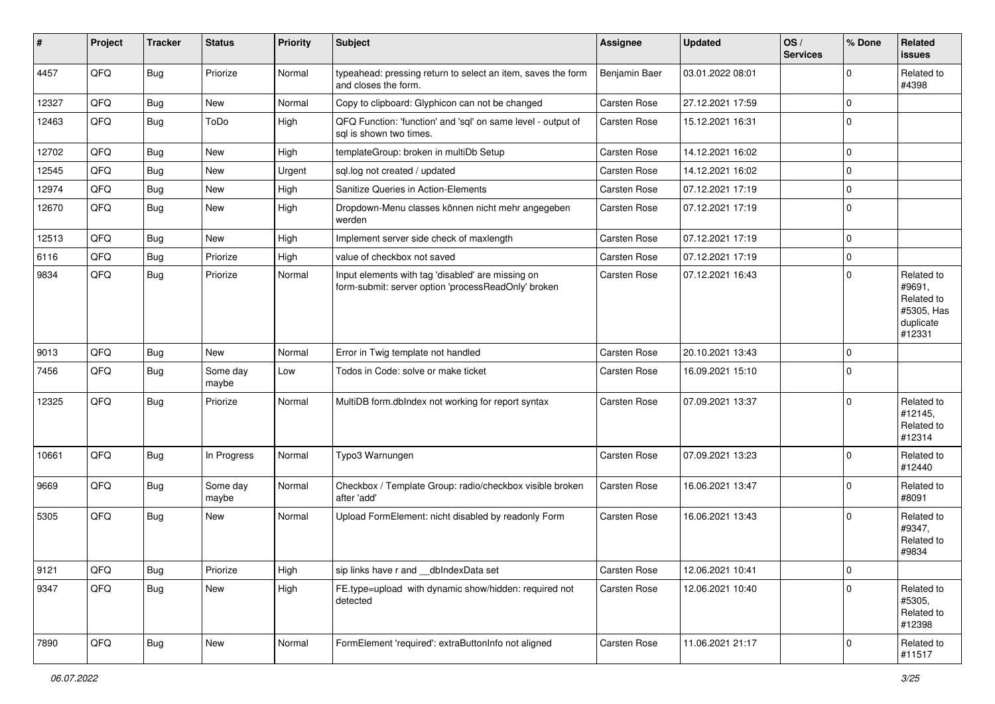| #     | Project | <b>Tracker</b> | <b>Status</b>     | <b>Priority</b> | <b>Subject</b>                                                                                           | Assignee            | <b>Updated</b>   | OS/<br><b>Services</b> | % Done      | Related<br><b>issues</b>                                                |
|-------|---------|----------------|-------------------|-----------------|----------------------------------------------------------------------------------------------------------|---------------------|------------------|------------------------|-------------|-------------------------------------------------------------------------|
| 4457  | QFQ     | <b>Bug</b>     | Priorize          | Normal          | typeahead: pressing return to select an item, saves the form<br>and closes the form.                     | Benjamin Baer       | 03.01.2022 08:01 |                        | $\mathbf 0$ | Related to<br>#4398                                                     |
| 12327 | QFQ     | <b>Bug</b>     | New               | Normal          | Copy to clipboard: Glyphicon can not be changed                                                          | <b>Carsten Rose</b> | 27.12.2021 17:59 |                        | $\mathbf 0$ |                                                                         |
| 12463 | QFQ     | <b>Bug</b>     | ToDo              | High            | QFQ Function: 'function' and 'sql' on same level - output of<br>sal is shown two times.                  | Carsten Rose        | 15.12.2021 16:31 |                        | $\mathbf 0$ |                                                                         |
| 12702 | QFQ     | <b>Bug</b>     | New               | High            | templateGroup: broken in multiDb Setup                                                                   | Carsten Rose        | 14.12.2021 16:02 |                        | $\mathbf 0$ |                                                                         |
| 12545 | QFQ     | <b>Bug</b>     | New               | Urgent          | sql.log not created / updated                                                                            | Carsten Rose        | 14.12.2021 16:02 |                        | $\mathbf 0$ |                                                                         |
| 12974 | QFQ     | Bug            | New               | High            | Sanitize Queries in Action-Elements                                                                      | Carsten Rose        | 07.12.2021 17:19 |                        | $\mathbf 0$ |                                                                         |
| 12670 | QFQ     | <b>Bug</b>     | New               | High            | Dropdown-Menu classes können nicht mehr angegeben<br>werden                                              | Carsten Rose        | 07.12.2021 17:19 |                        | $\mathbf 0$ |                                                                         |
| 12513 | QFQ     | <b>Bug</b>     | New               | High            | Implement server side check of maxlength                                                                 | Carsten Rose        | 07.12.2021 17:19 |                        | $\mathbf 0$ |                                                                         |
| 6116  | QFQ     | <b>Bug</b>     | Priorize          | High            | value of checkbox not saved                                                                              | Carsten Rose        | 07.12.2021 17:19 |                        | $\mathbf 0$ |                                                                         |
| 9834  | QFQ     | Bug            | Priorize          | Normal          | Input elements with tag 'disabled' are missing on<br>form-submit: server option 'processReadOnly' broken | Carsten Rose        | 07.12.2021 16:43 |                        | $\mathbf 0$ | Related to<br>#9691,<br>Related to<br>#5305, Has<br>duplicate<br>#12331 |
| 9013  | QFQ     | <b>Bug</b>     | New               | Normal          | Error in Twig template not handled                                                                       | <b>Carsten Rose</b> | 20.10.2021 13:43 |                        | $\mathbf 0$ |                                                                         |
| 7456  | QFQ     | <b>Bug</b>     | Some day<br>maybe | Low             | Todos in Code: solve or make ticket                                                                      | Carsten Rose        | 16.09.2021 15:10 |                        | $\mathbf 0$ |                                                                         |
| 12325 | QFQ     | Bug            | Priorize          | Normal          | MultiDB form.dblndex not working for report syntax                                                       | Carsten Rose        | 07.09.2021 13:37 |                        | $\mathbf 0$ | Related to<br>#12145,<br>Related to<br>#12314                           |
| 10661 | QFQ     | <b>Bug</b>     | In Progress       | Normal          | Typo3 Warnungen                                                                                          | Carsten Rose        | 07.09.2021 13:23 |                        | $\Omega$    | Related to<br>#12440                                                    |
| 9669  | QFQ     | Bug            | Some day<br>maybe | Normal          | Checkbox / Template Group: radio/checkbox visible broken<br>after 'add'                                  | Carsten Rose        | 16.06.2021 13:47 |                        | $\mathbf 0$ | Related to<br>#8091                                                     |
| 5305  | QFQ     | <b>Bug</b>     | New               | Normal          | Upload FormElement: nicht disabled by readonly Form                                                      | Carsten Rose        | 16.06.2021 13:43 |                        | $\mathbf 0$ | Related to<br>#9347,<br>Related to<br>#9834                             |
| 9121  | QFQ     | <b>Bug</b>     | Priorize          | High            | sip links have r and __dbIndexData set                                                                   | Carsten Rose        | 12.06.2021 10:41 |                        | $\pmb{0}$   |                                                                         |
| 9347  | QFQ     | <b>Bug</b>     | New               | High            | FE.type=upload with dynamic show/hidden: required not<br>detected                                        | Carsten Rose        | 12.06.2021 10:40 |                        | $\mathbf 0$ | Related to<br>#5305,<br>Related to<br>#12398                            |
| 7890  | QFQ     | <b>Bug</b>     | New               | Normal          | FormElement 'required': extraButtonInfo not aligned                                                      | Carsten Rose        | 11.06.2021 21:17 |                        | $\pmb{0}$   | Related to<br>#11517                                                    |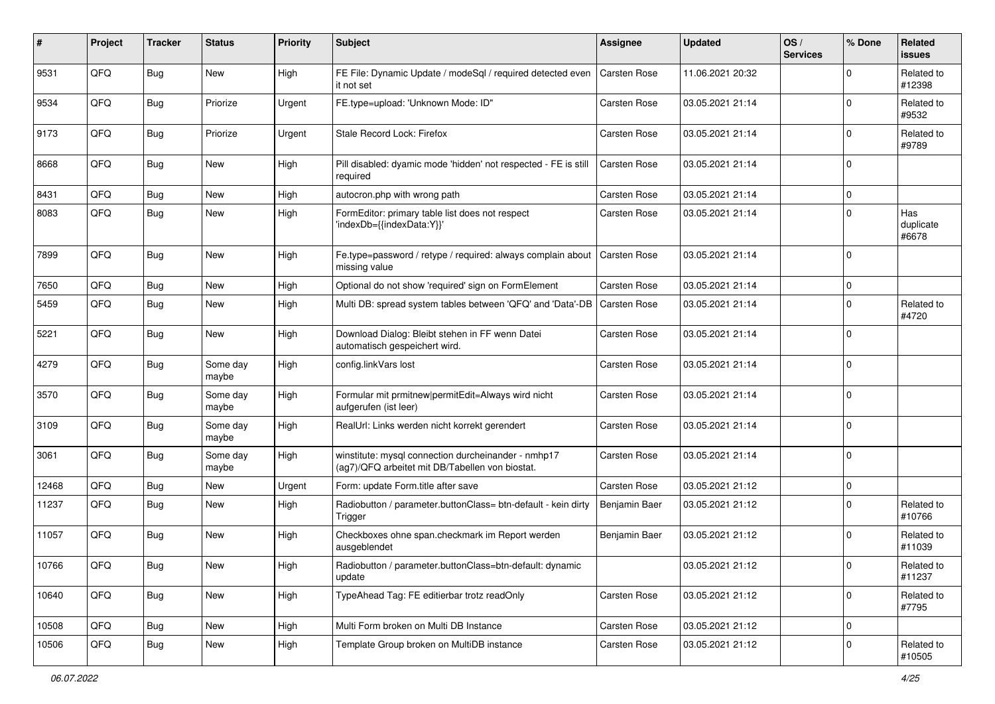| #     | Project | <b>Tracker</b> | <b>Status</b>     | <b>Priority</b> | <b>Subject</b>                                                                                         | <b>Assignee</b>     | <b>Updated</b>   | OS/<br><b>Services</b> | % Done   | Related<br><b>issues</b>  |
|-------|---------|----------------|-------------------|-----------------|--------------------------------------------------------------------------------------------------------|---------------------|------------------|------------------------|----------|---------------------------|
| 9531  | QFQ     | Bug            | <b>New</b>        | High            | FE File: Dynamic Update / modeSql / required detected even<br>it not set                               | Carsten Rose        | 11.06.2021 20:32 |                        | $\Omega$ | Related to<br>#12398      |
| 9534  | QFQ     | Bug            | Priorize          | Urgent          | FE.type=upload: 'Unknown Mode: ID"                                                                     | Carsten Rose        | 03.05.2021 21:14 |                        | $\Omega$ | Related to<br>#9532       |
| 9173  | QFQ     | Bug            | Priorize          | Urgent          | Stale Record Lock: Firefox                                                                             | Carsten Rose        | 03.05.2021 21:14 |                        | $\Omega$ | Related to<br>#9789       |
| 8668  | QFQ     | Bug            | New               | High            | Pill disabled: dyamic mode 'hidden' not respected - FE is still<br>required                            | <b>Carsten Rose</b> | 03.05.2021 21:14 |                        | $\Omega$ |                           |
| 8431  | QFQ     | Bug            | <b>New</b>        | High            | autocron.php with wrong path                                                                           | Carsten Rose        | 03.05.2021 21:14 |                        | $\Omega$ |                           |
| 8083  | QFQ     | <b>Bug</b>     | New               | High            | FormEditor: primary table list does not respect<br>'indexDb={{indexData:Y}}'                           | Carsten Rose        | 03.05.2021 21:14 |                        | $\Omega$ | Has<br>duplicate<br>#6678 |
| 7899  | QFQ     | <b>Bug</b>     | New               | High            | Fe.type=password / retype / required: always complain about<br>missing value                           | Carsten Rose        | 03.05.2021 21:14 |                        | $\Omega$ |                           |
| 7650  | QFQ     | Bug            | <b>New</b>        | High            | Optional do not show 'required' sign on FormElement                                                    | Carsten Rose        | 03.05.2021 21:14 |                        | $\Omega$ |                           |
| 5459  | QFQ     | Bug            | New               | High            | Multi DB: spread system tables between 'QFQ' and 'Data'-DB                                             | Carsten Rose        | 03.05.2021 21:14 |                        | $\Omega$ | Related to<br>#4720       |
| 5221  | QFQ     | Bug            | <b>New</b>        | High            | Download Dialog: Bleibt stehen in FF wenn Datei<br>automatisch gespeichert wird.                       | Carsten Rose        | 03.05.2021 21:14 |                        | $\Omega$ |                           |
| 4279  | QFQ     | Bug            | Some day<br>maybe | High            | config.linkVars lost                                                                                   | Carsten Rose        | 03.05.2021 21:14 |                        | $\Omega$ |                           |
| 3570  | QFQ     | Bug            | Some day<br>maybe | High            | Formular mit prmitnew permitEdit=Always wird nicht<br>aufgerufen (ist leer)                            | Carsten Rose        | 03.05.2021 21:14 |                        | $\Omega$ |                           |
| 3109  | QFQ     | Bug            | Some day<br>maybe | High            | RealUrl: Links werden nicht korrekt gerendert                                                          | Carsten Rose        | 03.05.2021 21:14 |                        | $\Omega$ |                           |
| 3061  | QFQ     | <b>Bug</b>     | Some day<br>maybe | High            | winstitute: mysql connection durcheinander - nmhp17<br>(ag7)/QFQ arbeitet mit DB/Tabellen von biostat. | Carsten Rose        | 03.05.2021 21:14 |                        | $\Omega$ |                           |
| 12468 | QFQ     | <b>Bug</b>     | New               | Urgent          | Form: update Form.title after save                                                                     | Carsten Rose        | 03.05.2021 21:12 |                        | $\Omega$ |                           |
| 11237 | QFQ     | <b>Bug</b>     | New               | High            | Radiobutton / parameter.buttonClass= btn-default - kein dirty<br>Trigger                               | Benjamin Baer       | 03.05.2021 21:12 |                        | $\Omega$ | Related to<br>#10766      |
| 11057 | QFQ     | Bug            | New               | High            | Checkboxes ohne span.checkmark im Report werden<br>ausgeblendet                                        | Benjamin Baer       | 03.05.2021 21:12 |                        | $\Omega$ | Related to<br>#11039      |
| 10766 | QFQ     | <b>Bug</b>     | New               | High            | Radiobutton / parameter.buttonClass=btn-default: dynamic<br>update                                     |                     | 03.05.2021 21:12 |                        | O        | Related to<br>#11237      |
| 10640 | QFQ     | Bug            | New               | High            | TypeAhead Tag: FE editierbar trotz readOnly                                                            | Carsten Rose        | 03.05.2021 21:12 |                        | 0        | Related to<br>#7795       |
| 10508 | QFQ     | <b>Bug</b>     | New               | High            | Multi Form broken on Multi DB Instance                                                                 | Carsten Rose        | 03.05.2021 21:12 |                        | 0        |                           |
| 10506 | QFQ     | <b>Bug</b>     | New               | High            | Template Group broken on MultiDB instance                                                              | Carsten Rose        | 03.05.2021 21:12 |                        | 0        | Related to<br>#10505      |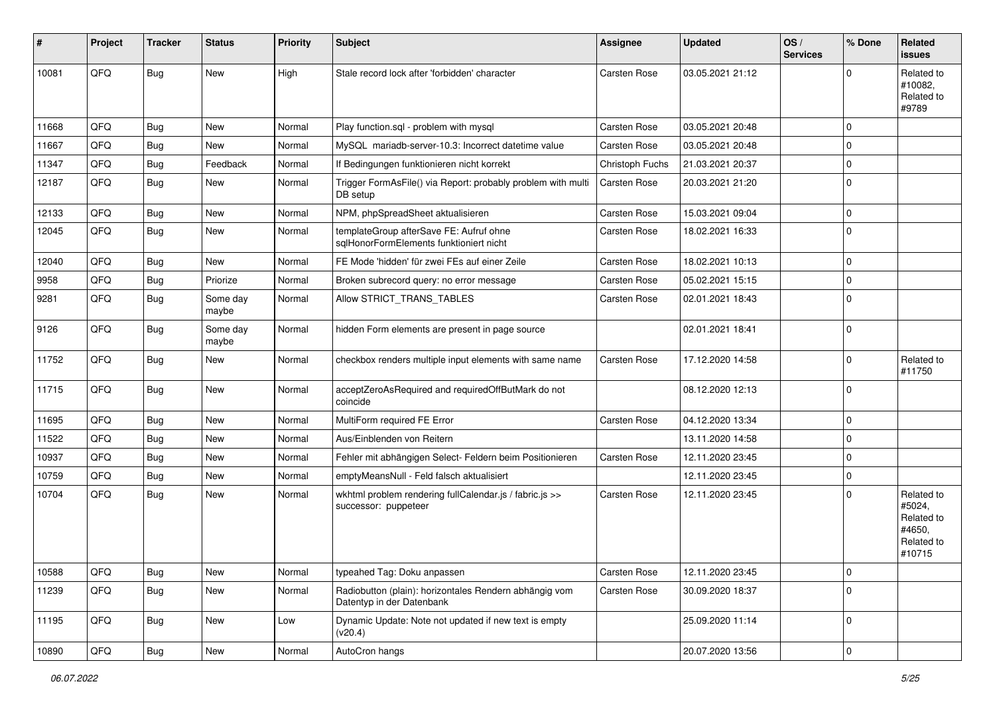| #     | Project | <b>Tracker</b> | <b>Status</b>     | <b>Priority</b> | <b>Subject</b>                                                                      | Assignee            | <b>Updated</b>   | OS/<br><b>Services</b> | % Done      | Related<br><b>issues</b>                                             |
|-------|---------|----------------|-------------------|-----------------|-------------------------------------------------------------------------------------|---------------------|------------------|------------------------|-------------|----------------------------------------------------------------------|
| 10081 | QFQ     | <b>Bug</b>     | New               | High            | Stale record lock after 'forbidden' character                                       | Carsten Rose        | 03.05.2021 21:12 |                        | $\Omega$    | Related to<br>#10082,<br>Related to<br>#9789                         |
| 11668 | QFQ     | <b>Bug</b>     | <b>New</b>        | Normal          | Play function.sql - problem with mysql                                              | Carsten Rose        | 03.05.2021 20:48 |                        | $\mathbf 0$ |                                                                      |
| 11667 | QFQ     | <b>Bug</b>     | New               | Normal          | MySQL mariadb-server-10.3: Incorrect datetime value                                 | Carsten Rose        | 03.05.2021 20:48 |                        | $\mathbf 0$ |                                                                      |
| 11347 | QFQ     | Bug            | Feedback          | Normal          | If Bedingungen funktionieren nicht korrekt                                          | Christoph Fuchs     | 21.03.2021 20:37 |                        | $\mathbf 0$ |                                                                      |
| 12187 | QFQ     | <b>Bug</b>     | New               | Normal          | Trigger FormAsFile() via Report: probably problem with multi<br>DB setup            | Carsten Rose        | 20.03.2021 21:20 |                        | $\mathbf 0$ |                                                                      |
| 12133 | QFQ     | Bug            | New               | Normal          | NPM, phpSpreadSheet aktualisieren                                                   | Carsten Rose        | 15.03.2021 09:04 |                        | $\mathbf 0$ |                                                                      |
| 12045 | QFQ     | Bug            | New               | Normal          | templateGroup afterSave FE: Aufruf ohne<br>sqlHonorFormElements funktioniert nicht  | Carsten Rose        | 18.02.2021 16:33 |                        | $\mathbf 0$ |                                                                      |
| 12040 | QFQ     | Bug            | New               | Normal          | FE Mode 'hidden' für zwei FEs auf einer Zeile                                       | Carsten Rose        | 18.02.2021 10:13 |                        | $\mathbf 0$ |                                                                      |
| 9958  | QFQ     | <b>Bug</b>     | Priorize          | Normal          | Broken subrecord query: no error message                                            | Carsten Rose        | 05.02.2021 15:15 |                        | $\mathbf 0$ |                                                                      |
| 9281  | QFQ     | <b>Bug</b>     | Some day<br>maybe | Normal          | Allow STRICT_TRANS_TABLES                                                           | Carsten Rose        | 02.01.2021 18:43 |                        | $\mathbf 0$ |                                                                      |
| 9126  | QFQ     | Bug            | Some day<br>maybe | Normal          | hidden Form elements are present in page source                                     |                     | 02.01.2021 18:41 |                        | $\mathbf 0$ |                                                                      |
| 11752 | QFQ     | <b>Bug</b>     | New               | Normal          | checkbox renders multiple input elements with same name                             | <b>Carsten Rose</b> | 17.12.2020 14:58 |                        | $\mathbf 0$ | Related to<br>#11750                                                 |
| 11715 | QFQ     | Bug            | New               | Normal          | acceptZeroAsRequired and requiredOffButMark do not<br>coincide                      |                     | 08.12.2020 12:13 |                        | $\mathbf 0$ |                                                                      |
| 11695 | QFQ     | <b>Bug</b>     | New               | Normal          | MultiForm required FE Error                                                         | Carsten Rose        | 04.12.2020 13:34 |                        | $\mathbf 0$ |                                                                      |
| 11522 | QFQ     | Bug            | New               | Normal          | Aus/Einblenden von Reitern                                                          |                     | 13.11.2020 14:58 |                        | $\mathbf 0$ |                                                                      |
| 10937 | QFQ     | <b>Bug</b>     | New               | Normal          | Fehler mit abhängigen Select- Feldern beim Positionieren                            | Carsten Rose        | 12.11.2020 23:45 |                        | $\pmb{0}$   |                                                                      |
| 10759 | QFQ     | Bug            | New               | Normal          | emptyMeansNull - Feld falsch aktualisiert                                           |                     | 12.11.2020 23:45 |                        | $\mathbf 0$ |                                                                      |
| 10704 | QFQ     | <b>Bug</b>     | New               | Normal          | wkhtml problem rendering fullCalendar.js / fabric.js >><br>successor: puppeteer     | Carsten Rose        | 12.11.2020 23:45 |                        | $\mathbf 0$ | Related to<br>#5024,<br>Related to<br>#4650,<br>Related to<br>#10715 |
| 10588 | QFQ     | <b>Bug</b>     | New               | Normal          | typeahed Tag: Doku anpassen                                                         | Carsten Rose        | 12.11.2020 23:45 |                        | $\pmb{0}$   |                                                                      |
| 11239 | QFQ     | Bug            | New               | Normal          | Radiobutton (plain): horizontales Rendern abhängig vom<br>Datentyp in der Datenbank | Carsten Rose        | 30.09.2020 18:37 |                        | $\mathbf 0$ |                                                                      |
| 11195 | QFQ     | <b>Bug</b>     | New               | Low             | Dynamic Update: Note not updated if new text is empty<br>(v20.4)                    |                     | 25.09.2020 11:14 |                        | $\mathbf 0$ |                                                                      |
| 10890 | QFQ     | <b>Bug</b>     | New               | Normal          | AutoCron hangs                                                                      |                     | 20.07.2020 13:56 |                        | $\pmb{0}$   |                                                                      |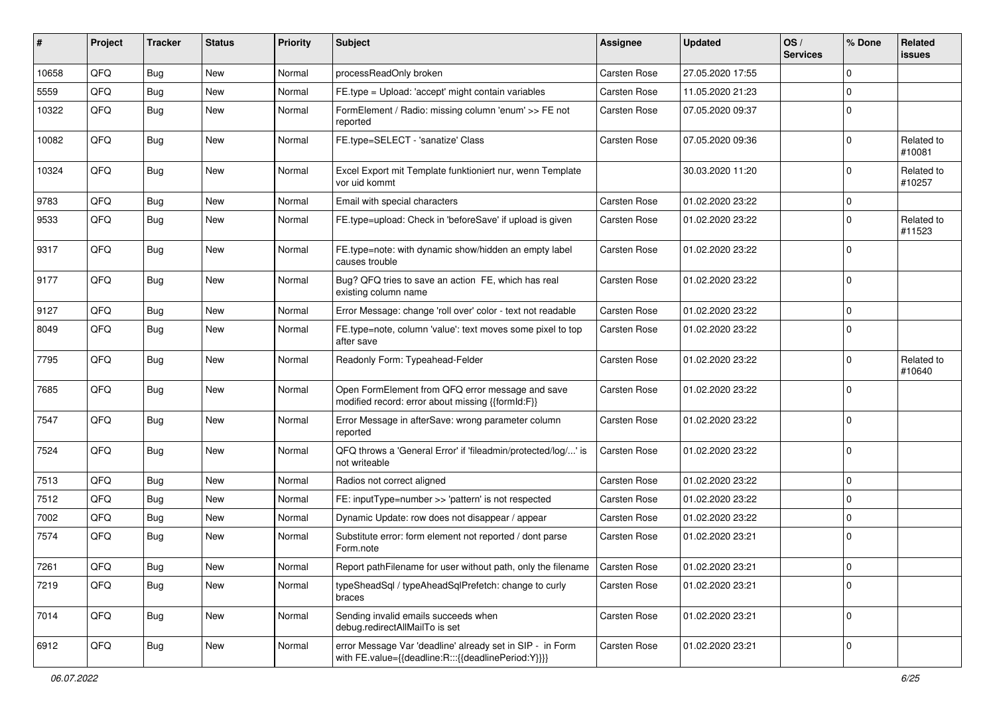| #     | Project | <b>Tracker</b> | <b>Status</b> | <b>Priority</b> | <b>Subject</b>                                                                                                   | <b>Assignee</b>     | <b>Updated</b>   | OS/<br><b>Services</b> | % Done      | Related<br><b>issues</b> |
|-------|---------|----------------|---------------|-----------------|------------------------------------------------------------------------------------------------------------------|---------------------|------------------|------------------------|-------------|--------------------------|
| 10658 | QFQ     | Bug            | <b>New</b>    | Normal          | processReadOnly broken                                                                                           | Carsten Rose        | 27.05.2020 17:55 |                        | $\mathbf 0$ |                          |
| 5559  | QFQ     | Bug            | New           | Normal          | FE.type = Upload: 'accept' might contain variables                                                               | Carsten Rose        | 11.05.2020 21:23 |                        | $\mathbf 0$ |                          |
| 10322 | QFQ     | <b>Bug</b>     | New           | Normal          | FormElement / Radio: missing column 'enum' >> FE not<br>reported                                                 | Carsten Rose        | 07.05.2020 09:37 |                        | $\mathbf 0$ |                          |
| 10082 | QFQ     | <b>Bug</b>     | New           | Normal          | FE.type=SELECT - 'sanatize' Class                                                                                | Carsten Rose        | 07.05.2020 09:36 |                        | $\mathbf 0$ | Related to<br>#10081     |
| 10324 | QFQ     | <b>Bug</b>     | New           | Normal          | Excel Export mit Template funktioniert nur, wenn Template<br>vor uid kommt                                       |                     | 30.03.2020 11:20 |                        | $\mathbf 0$ | Related to<br>#10257     |
| 9783  | QFQ     | Bug            | New           | Normal          | Email with special characters                                                                                    | <b>Carsten Rose</b> | 01.02.2020 23:22 |                        | $\mathbf 0$ |                          |
| 9533  | QFQ     | <b>Bug</b>     | New           | Normal          | FE.type=upload: Check in 'beforeSave' if upload is given                                                         | Carsten Rose        | 01.02.2020 23:22 |                        | $\mathbf 0$ | Related to<br>#11523     |
| 9317  | QFQ     | <b>Bug</b>     | New           | Normal          | FE.type=note: with dynamic show/hidden an empty label<br>causes trouble                                          | Carsten Rose        | 01.02.2020 23:22 |                        | $\mathbf 0$ |                          |
| 9177  | QFQ     | <b>Bug</b>     | <b>New</b>    | Normal          | Bug? QFQ tries to save an action FE, which has real<br>existing column name                                      | Carsten Rose        | 01.02.2020 23:22 |                        | $\mathbf 0$ |                          |
| 9127  | QFQ     | Bug            | New           | Normal          | Error Message: change 'roll over' color - text not readable                                                      | Carsten Rose        | 01.02.2020 23:22 |                        | $\mathbf 0$ |                          |
| 8049  | QFQ     | <b>Bug</b>     | <b>New</b>    | Normal          | FE.type=note, column 'value': text moves some pixel to top<br>after save                                         | Carsten Rose        | 01.02.2020 23:22 |                        | $\mathbf 0$ |                          |
| 7795  | QFQ     | Bug            | New           | Normal          | Readonly Form: Typeahead-Felder                                                                                  | Carsten Rose        | 01.02.2020 23:22 |                        | $\mathbf 0$ | Related to<br>#10640     |
| 7685  | QFQ     | Bug            | New           | Normal          | Open FormElement from QFQ error message and save<br>modified record: error about missing {{formId:F}}            | Carsten Rose        | 01.02.2020 23:22 |                        | $\mathbf 0$ |                          |
| 7547  | QFQ     | Bug            | New           | Normal          | Error Message in afterSave: wrong parameter column<br>reported                                                   | Carsten Rose        | 01.02.2020 23:22 |                        | $\mathbf 0$ |                          |
| 7524  | QFQ     | <b>Bug</b>     | <b>New</b>    | Normal          | QFQ throws a 'General Error' if 'fileadmin/protected/log/' is<br>not writeable                                   | Carsten Rose        | 01.02.2020 23:22 |                        | $\mathbf 0$ |                          |
| 7513  | QFQ     | Bug            | New           | Normal          | Radios not correct aligned                                                                                       | <b>Carsten Rose</b> | 01.02.2020 23:22 |                        | $\mathbf 0$ |                          |
| 7512  | QFQ     | Bug            | New           | Normal          | FE: inputType=number >> 'pattern' is not respected                                                               | Carsten Rose        | 01.02.2020 23:22 |                        | $\mathbf 0$ |                          |
| 7002  | QFQ     | <b>Bug</b>     | New           | Normal          | Dynamic Update: row does not disappear / appear                                                                  | Carsten Rose        | 01.02.2020 23:22 |                        | $\mathbf 0$ |                          |
| 7574  | QFQ     | <b>Bug</b>     | <b>New</b>    | Normal          | Substitute error: form element not reported / dont parse<br>Form.note                                            | Carsten Rose        | 01.02.2020 23:21 |                        | $\mathbf 0$ |                          |
| 7261  | QFQ     | <b>Bug</b>     | New           | Normal          | Report pathFilename for user without path, only the filename                                                     | Carsten Rose        | 01.02.2020 23:21 |                        | $\mathbf 0$ |                          |
| 7219  | QFQ     | <b>Bug</b>     | New           | Normal          | typeSheadSql / typeAheadSqlPrefetch: change to curly<br>braces                                                   | Carsten Rose        | 01.02.2020 23:21 |                        | $\mathbf 0$ |                          |
| 7014  | QFQ     | <b>Bug</b>     | New           | Normal          | Sending invalid emails succeeds when<br>debug.redirectAllMailTo is set                                           | Carsten Rose        | 01.02.2020 23:21 |                        | $\mathbf 0$ |                          |
| 6912  | QFQ     | <b>Bug</b>     | New           | Normal          | error Message Var 'deadline' already set in SIP - in Form<br>with FE.value={{deadline:R:::{{deadlinePeriod:Y}}}} | Carsten Rose        | 01.02.2020 23:21 |                        | $\pmb{0}$   |                          |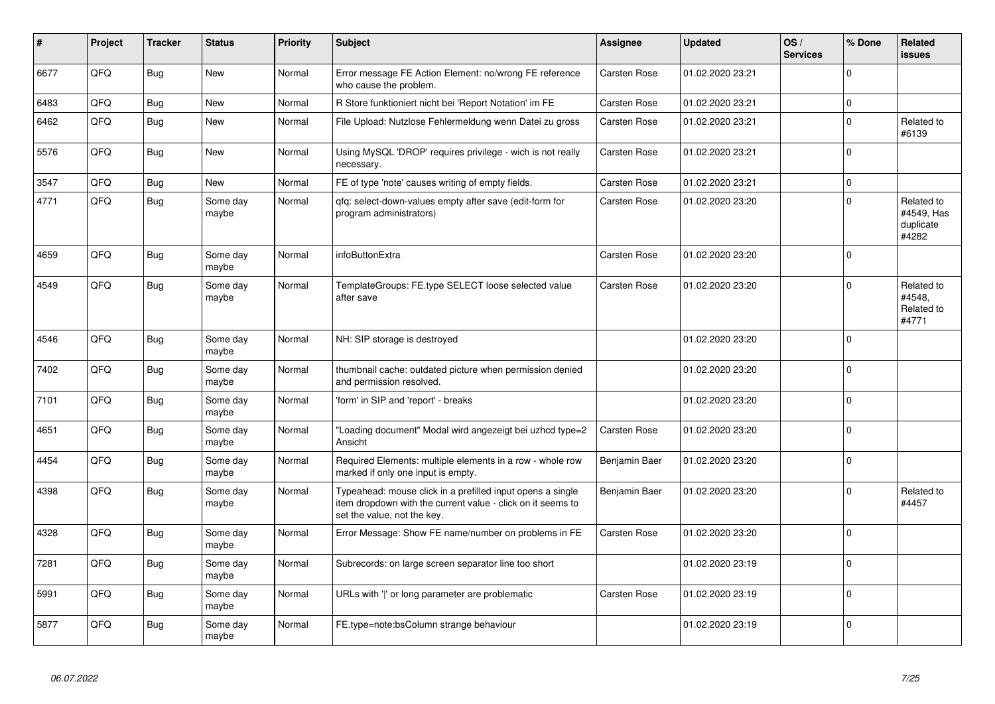| #    | Project | <b>Tracker</b> | <b>Status</b>     | <b>Priority</b> | <b>Subject</b>                                                                                                                                           | Assignee            | <b>Updated</b>   | OS/<br><b>Services</b> | % Done      | Related<br><b>issues</b>                       |
|------|---------|----------------|-------------------|-----------------|----------------------------------------------------------------------------------------------------------------------------------------------------------|---------------------|------------------|------------------------|-------------|------------------------------------------------|
| 6677 | QFQ     | Bug            | <b>New</b>        | Normal          | Error message FE Action Element: no/wrong FE reference<br>who cause the problem.                                                                         | Carsten Rose        | 01.02.2020 23:21 |                        | $\Omega$    |                                                |
| 6483 | QFQ     | <b>Bug</b>     | <b>New</b>        | Normal          | R Store funktioniert nicht bei 'Report Notation' im FE                                                                                                   | <b>Carsten Rose</b> | 01.02.2020 23:21 |                        | $\mathbf 0$ |                                                |
| 6462 | QFQ     | Bug            | New               | Normal          | File Upload: Nutzlose Fehlermeldung wenn Datei zu gross                                                                                                  | Carsten Rose        | 01.02.2020 23:21 |                        | $\Omega$    | Related to<br>#6139                            |
| 5576 | QFQ     | <b>Bug</b>     | <b>New</b>        | Normal          | Using MySQL 'DROP' requires privilege - wich is not really<br>necessary.                                                                                 | <b>Carsten Rose</b> | 01.02.2020 23:21 |                        | $\Omega$    |                                                |
| 3547 | QFQ     | <b>Bug</b>     | New               | Normal          | FE of type 'note' causes writing of empty fields.                                                                                                        | Carsten Rose        | 01.02.2020 23:21 |                        | $\Omega$    |                                                |
| 4771 | QFQ     | <b>Bug</b>     | Some day<br>maybe | Normal          | gfg: select-down-values empty after save (edit-form for<br>program administrators)                                                                       | Carsten Rose        | 01.02.2020 23:20 |                        | $\Omega$    | Related to<br>#4549, Has<br>duplicate<br>#4282 |
| 4659 | QFQ     | <b>Bug</b>     | Some day<br>maybe | Normal          | infoButtonExtra                                                                                                                                          | <b>Carsten Rose</b> | 01.02.2020 23:20 |                        | $\Omega$    |                                                |
| 4549 | QFQ     | <b>Bug</b>     | Some day<br>maybe | Normal          | TemplateGroups: FE.type SELECT loose selected value<br>after save                                                                                        | Carsten Rose        | 01.02.2020 23:20 |                        | $\Omega$    | Related to<br>#4548,<br>Related to<br>#4771    |
| 4546 | QFQ     | <b>Bug</b>     | Some day<br>maybe | Normal          | NH: SIP storage is destroyed                                                                                                                             |                     | 01.02.2020 23:20 |                        | $\Omega$    |                                                |
| 7402 | QFQ     | <b>Bug</b>     | Some day<br>maybe | Normal          | thumbnail cache: outdated picture when permission denied<br>and permission resolved.                                                                     |                     | 01.02.2020 23:20 |                        | $\Omega$    |                                                |
| 7101 | QFQ     | <b>Bug</b>     | Some day<br>maybe | Normal          | 'form' in SIP and 'report' - breaks                                                                                                                      |                     | 01.02.2020 23:20 |                        | $\Omega$    |                                                |
| 4651 | QFQ     | <b>Bug</b>     | Some day<br>maybe | Normal          | 'Loading document" Modal wird angezeigt bei uzhcd type=2<br>Ansicht                                                                                      | <b>Carsten Rose</b> | 01.02.2020 23:20 |                        | $\mathbf 0$ |                                                |
| 4454 | QFQ     | <b>Bug</b>     | Some dav<br>maybe | Normal          | Required Elements: multiple elements in a row - whole row<br>marked if only one input is empty.                                                          | Benjamin Baer       | 01.02.2020 23:20 |                        | $\Omega$    |                                                |
| 4398 | QFQ     | <b>Bug</b>     | Some day<br>maybe | Normal          | Typeahead: mouse click in a prefilled input opens a single<br>item dropdown with the current value - click on it seems to<br>set the value, not the key. | Benjamin Baer       | 01.02.2020 23:20 |                        | $\Omega$    | Related to<br>#4457                            |
| 4328 | QFQ     | Bug            | Some dav<br>maybe | Normal          | Error Message: Show FE name/number on problems in FE                                                                                                     | Carsten Rose        | 01.02.2020 23:20 |                        | $\Omega$    |                                                |
| 7281 | QFQ     | <b>Bug</b>     | Some day<br>maybe | Normal          | Subrecords: on large screen separator line too short                                                                                                     |                     | 01.02.2020 23:19 |                        | $\Omega$    |                                                |
| 5991 | QFQ     | <b>Bug</b>     | Some day<br>maybe | Normal          | URLs with ' ' or long parameter are problematic                                                                                                          | Carsten Rose        | 01.02.2020 23:19 |                        | $\mathbf 0$ |                                                |
| 5877 | QFQ     | <b>Bug</b>     | Some day<br>maybe | Normal          | FE.type=note:bsColumn strange behaviour                                                                                                                  |                     | 01.02.2020 23:19 |                        | $\Omega$    |                                                |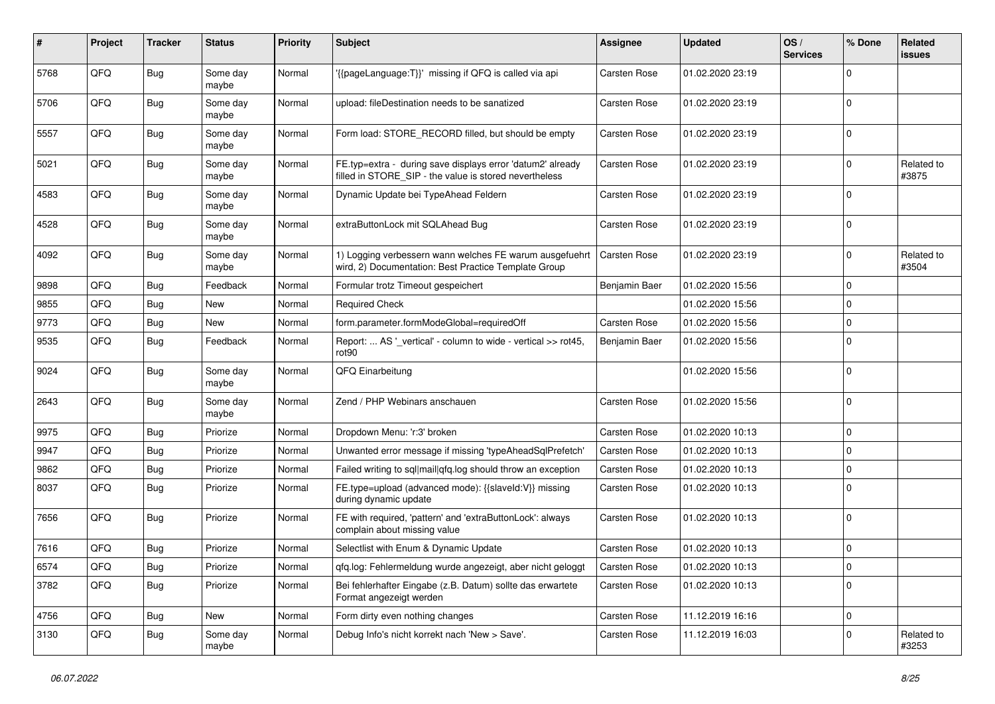| #    | <b>Project</b> | <b>Tracker</b> | <b>Status</b>     | <b>Priority</b> | <b>Subject</b>                                                                                                       | <b>Assignee</b>     | <b>Updated</b>   | OS/<br><b>Services</b> | % Done      | Related<br><b>issues</b> |
|------|----------------|----------------|-------------------|-----------------|----------------------------------------------------------------------------------------------------------------------|---------------------|------------------|------------------------|-------------|--------------------------|
| 5768 | QFQ            | <b>Bug</b>     | Some day<br>maybe | Normal          | '{{pageLanguage:T}}' missing if QFQ is called via api                                                                | <b>Carsten Rose</b> | 01.02.2020 23:19 |                        | $\Omega$    |                          |
| 5706 | QFQ            | <b>Bug</b>     | Some day<br>maybe | Normal          | upload: fileDestination needs to be sanatized                                                                        | Carsten Rose        | 01.02.2020 23:19 |                        | $\mathbf 0$ |                          |
| 5557 | QFQ            | <b>Bug</b>     | Some day<br>maybe | Normal          | Form load: STORE_RECORD filled, but should be empty                                                                  | Carsten Rose        | 01.02.2020 23:19 |                        | $\Omega$    |                          |
| 5021 | QFQ            | <b>Bug</b>     | Some day<br>maybe | Normal          | FE.typ=extra - during save displays error 'datum2' already<br>filled in STORE_SIP - the value is stored nevertheless | Carsten Rose        | 01.02.2020 23:19 |                        | $\mathbf 0$ | Related to<br>#3875      |
| 4583 | QFQ            | Bug            | Some day<br>maybe | Normal          | Dynamic Update bei TypeAhead Feldern                                                                                 | <b>Carsten Rose</b> | 01.02.2020 23:19 |                        | $\mathbf 0$ |                          |
| 4528 | QFQ            | Bug            | Some day<br>maybe | Normal          | extraButtonLock mit SQLAhead Bug                                                                                     | <b>Carsten Rose</b> | 01.02.2020 23:19 |                        | $\mathbf 0$ |                          |
| 4092 | QFQ            | <b>Bug</b>     | Some day<br>maybe | Normal          | 1) Logging verbessern wann welches FE warum ausgefuehrt<br>wird, 2) Documentation: Best Practice Template Group      | Carsten Rose        | 01.02.2020 23:19 |                        | $\Omega$    | Related to<br>#3504      |
| 9898 | QFQ            | <b>Bug</b>     | Feedback          | Normal          | Formular trotz Timeout gespeichert                                                                                   | Benjamin Baer       | 01.02.2020 15:56 |                        | $\mathbf 0$ |                          |
| 9855 | QFQ            | <b>Bug</b>     | New               | Normal          | <b>Required Check</b>                                                                                                |                     | 01.02.2020 15:56 |                        | $\mathbf 0$ |                          |
| 9773 | QFQ            | <b>Bug</b>     | New               | Normal          | form.parameter.formModeGlobal=requiredOff                                                                            | <b>Carsten Rose</b> | 01.02.2020 15:56 |                        | $\mathbf 0$ |                          |
| 9535 | QFQ            | <b>Bug</b>     | Feedback          | Normal          | Report:  AS ' vertical' - column to wide - vertical >> rot45,<br>rot90                                               | Benjamin Baer       | 01.02.2020 15:56 |                        | $\Omega$    |                          |
| 9024 | QFQ            | Bug            | Some day<br>maybe | Normal          | QFQ Einarbeitung                                                                                                     |                     | 01.02.2020 15:56 |                        | $\mathbf 0$ |                          |
| 2643 | QFQ            | Bug            | Some day<br>maybe | Normal          | Zend / PHP Webinars anschauen                                                                                        | Carsten Rose        | 01.02.2020 15:56 |                        | $\pmb{0}$   |                          |
| 9975 | QFQ            | <b>Bug</b>     | Priorize          | Normal          | Dropdown Menu: 'r:3' broken                                                                                          | Carsten Rose        | 01.02.2020 10:13 |                        | $\mathbf 0$ |                          |
| 9947 | QFQ            | <b>Bug</b>     | Priorize          | Normal          | Unwanted error message if missing 'typeAheadSqlPrefetch'                                                             | Carsten Rose        | 01.02.2020 10:13 |                        | $\mathbf 0$ |                          |
| 9862 | QFQ            | <b>Bug</b>     | Priorize          | Normal          | Failed writing to sql mail qfq.log should throw an exception                                                         | <b>Carsten Rose</b> | 01.02.2020 10:13 |                        | $\pmb{0}$   |                          |
| 8037 | QFQ            | <b>Bug</b>     | Priorize          | Normal          | FE.type=upload (advanced mode): {{slaveId:V}} missing<br>during dynamic update                                       | Carsten Rose        | 01.02.2020 10:13 |                        | $\Omega$    |                          |
| 7656 | QFQ            | <b>Bug</b>     | Priorize          | Normal          | FE with required, 'pattern' and 'extraButtonLock': always<br>complain about missing value                            | Carsten Rose        | 01.02.2020 10:13 |                        | $\Omega$    |                          |
| 7616 | QFQ            | Bug            | Priorize          | Normal          | Selectlist with Enum & Dynamic Update                                                                                | <b>Carsten Rose</b> | 01.02.2020 10:13 |                        | $\mathbf 0$ |                          |
| 6574 | QFQ            | Bug            | Priorize          | Normal          | gfg.log: Fehlermeldung wurde angezeigt, aber nicht geloggt                                                           | <b>Carsten Rose</b> | 01.02.2020 10:13 |                        | $\mathbf 0$ |                          |
| 3782 | QFQ            | Bug            | Priorize          | Normal          | Bei fehlerhafter Eingabe (z.B. Datum) sollte das erwartete<br>Format angezeigt werden                                | <b>Carsten Rose</b> | 01.02.2020 10:13 |                        | $\mathbf 0$ |                          |
| 4756 | QFQ            | <b>Bug</b>     | <b>New</b>        | Normal          | Form dirty even nothing changes                                                                                      | <b>Carsten Rose</b> | 11.12.2019 16:16 |                        | $\pmb{0}$   |                          |
| 3130 | QFQ            | <b>Bug</b>     | Some day<br>maybe | Normal          | Debug Info's nicht korrekt nach 'New > Save'.                                                                        | <b>Carsten Rose</b> | 11.12.2019 16:03 |                        | $\mathbf 0$ | Related to<br>#3253      |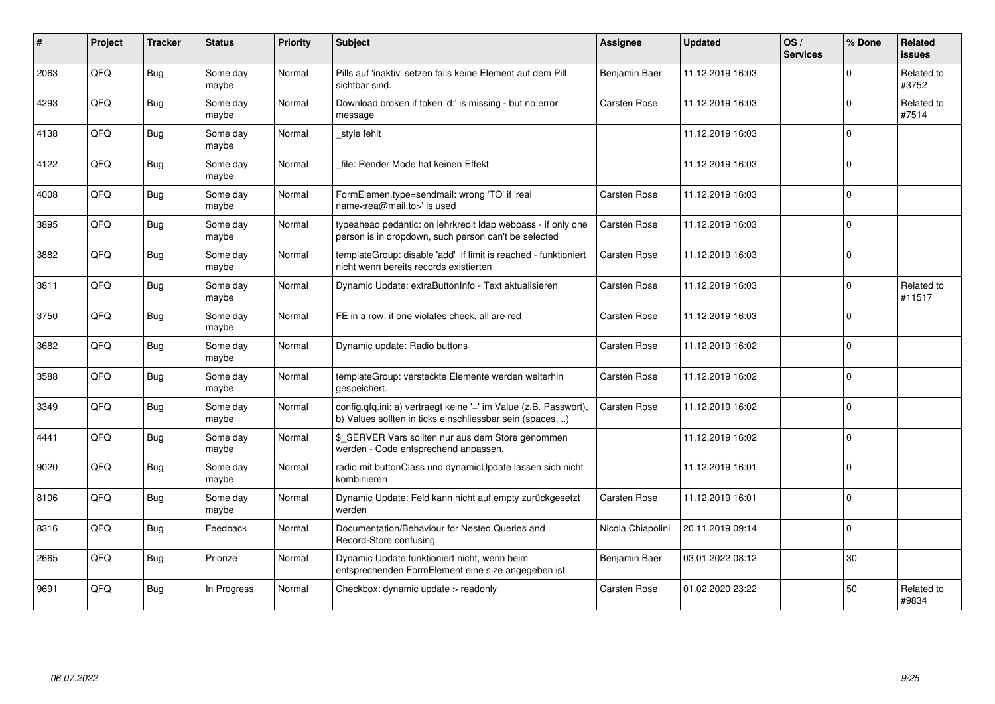| ∦    | Project | <b>Tracker</b> | <b>Status</b>     | <b>Priority</b> | <b>Subject</b>                                                                                                                | <b>Assignee</b>     | <b>Updated</b>   | OS/<br><b>Services</b> | % Done         | <b>Related</b><br><b>issues</b> |
|------|---------|----------------|-------------------|-----------------|-------------------------------------------------------------------------------------------------------------------------------|---------------------|------------------|------------------------|----------------|---------------------------------|
| 2063 | QFQ     | <b>Bug</b>     | Some day<br>maybe | Normal          | Pills auf 'inaktiv' setzen falls keine Element auf dem Pill<br>sichtbar sind.                                                 | Benjamin Baer       | 11.12.2019 16:03 |                        | $\Omega$       | Related to<br>#3752             |
| 4293 | QFQ     | <b>Bug</b>     | Some day<br>maybe | Normal          | Download broken if token 'd:' is missing - but no error<br>message                                                            | Carsten Rose        | 11.12.2019 16:03 |                        | $\Omega$       | Related to<br>#7514             |
| 4138 | QFQ     | <b>Bug</b>     | Some day<br>maybe | Normal          | style fehlt                                                                                                                   |                     | 11.12.2019 16:03 |                        | $\mathbf{0}$   |                                 |
| 4122 | QFQ     | <b>Bug</b>     | Some day<br>maybe | Normal          | file: Render Mode hat keinen Effekt                                                                                           |                     | 11.12.2019 16:03 |                        | $\overline{0}$ |                                 |
| 4008 | QFQ     | Bug            | Some day<br>maybe | Normal          | FormElemen.type=sendmail: wrong 'TO' if 'real<br>name <rea@mail.to>' is used</rea@mail.to>                                    | Carsten Rose        | 11.12.2019 16:03 |                        | $\Omega$       |                                 |
| 3895 | QFQ     | <b>Bug</b>     | Some day<br>maybe | Normal          | typeahead pedantic: on lehrkredit Idap webpass - if only one<br>person is in dropdown, such person can't be selected          | <b>Carsten Rose</b> | 11.12.2019 16:03 |                        | $\overline{0}$ |                                 |
| 3882 | QFQ     | <b>Bug</b>     | Some day<br>maybe | Normal          | templateGroup: disable 'add' if limit is reached - funktioniert<br>nicht wenn bereits records existierten                     | Carsten Rose        | 11.12.2019 16:03 |                        | $\overline{0}$ |                                 |
| 3811 | QFQ     | <b>Bug</b>     | Some day<br>maybe | Normal          | Dynamic Update: extraButtonInfo - Text aktualisieren                                                                          | Carsten Rose        | 11.12.2019 16:03 |                        | $\overline{0}$ | Related to<br>#11517            |
| 3750 | QFQ     | Bug            | Some day<br>maybe | Normal          | FE in a row: if one violates check, all are red                                                                               | <b>Carsten Rose</b> | 11.12.2019 16:03 |                        | $\overline{0}$ |                                 |
| 3682 | QFQ     | Bug            | Some day<br>maybe | Normal          | Dynamic update: Radio buttons                                                                                                 | Carsten Rose        | 11.12.2019 16:02 |                        | $\overline{0}$ |                                 |
| 3588 | QFQ     | Bug            | Some day<br>maybe | Normal          | templateGroup: versteckte Elemente werden weiterhin<br>gespeichert.                                                           | Carsten Rose        | 11.12.2019 16:02 |                        | $\overline{0}$ |                                 |
| 3349 | QFQ     | Bug            | Some day<br>maybe | Normal          | config.qfq.ini: a) vertraegt keine '=' im Value (z.B. Passwort),<br>b) Values sollten in ticks einschliessbar sein (spaces, ) | Carsten Rose        | 11.12.2019 16:02 |                        | $\overline{0}$ |                                 |
| 4441 | QFQ     | Bug            | Some day<br>maybe | Normal          | \$ SERVER Vars sollten nur aus dem Store genommen<br>werden - Code entsprechend anpassen.                                     |                     | 11.12.2019 16:02 |                        | $\overline{0}$ |                                 |
| 9020 | QFQ     | Bug            | Some day<br>maybe | Normal          | radio mit buttonClass und dynamicUpdate lassen sich nicht<br>kombinieren                                                      |                     | 11.12.2019 16:01 |                        | $\overline{0}$ |                                 |
| 8106 | QFQ     | <b>Bug</b>     | Some day<br>maybe | Normal          | Dynamic Update: Feld kann nicht auf empty zurückgesetzt<br>werden                                                             | Carsten Rose        | 11.12.2019 16:01 |                        | $\overline{0}$ |                                 |
| 8316 | QFQ     | <b>Bug</b>     | Feedback          | Normal          | Documentation/Behaviour for Nested Queries and<br>Record-Store confusing                                                      | Nicola Chiapolini   | 20.11.2019 09:14 |                        | $\mathbf{0}$   |                                 |
| 2665 | QFQ     | <b>Bug</b>     | Priorize          | Normal          | Dynamic Update funktioniert nicht, wenn beim<br>entsprechenden FormElement eine size angegeben ist.                           | Benjamin Baer       | 03.01.2022 08:12 |                        | 30             |                                 |
| 9691 | QFQ     | Bug            | In Progress       | Normal          | Checkbox: dynamic update > readonly                                                                                           | <b>Carsten Rose</b> | 01.02.2020 23:22 |                        | 50             | Related to<br>#9834             |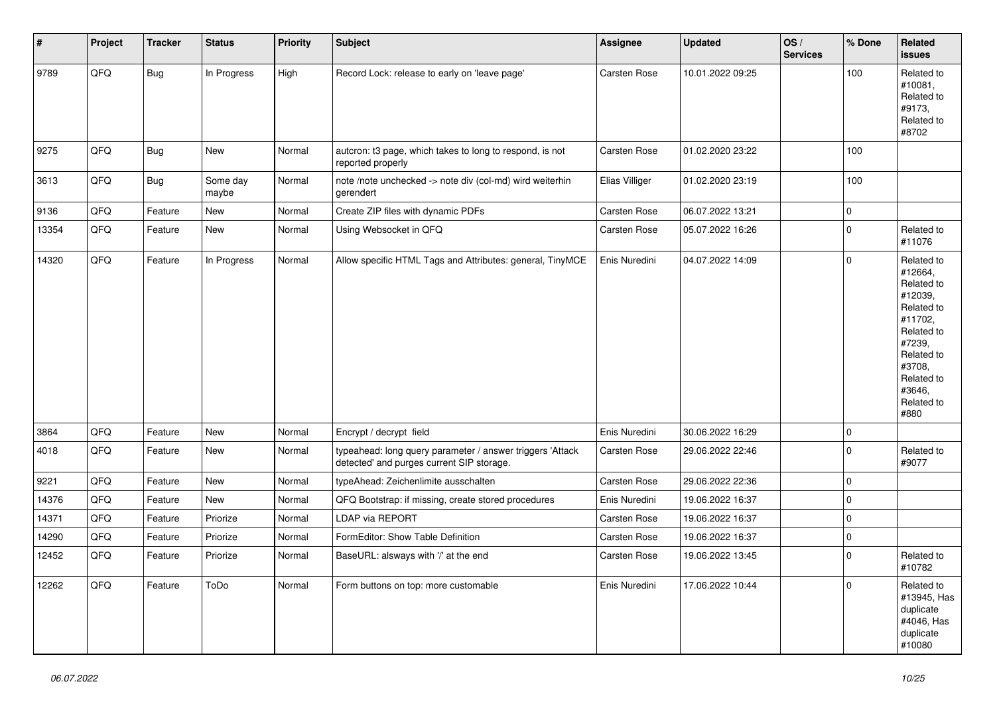| #     | Project | <b>Tracker</b> | <b>Status</b>     | <b>Priority</b> | <b>Subject</b>                                                                                         | <b>Assignee</b>     | <b>Updated</b>   | OS/<br><b>Services</b> | % Done      | Related<br>issues                                                                                                                                                     |
|-------|---------|----------------|-------------------|-----------------|--------------------------------------------------------------------------------------------------------|---------------------|------------------|------------------------|-------------|-----------------------------------------------------------------------------------------------------------------------------------------------------------------------|
| 9789  | QFQ     | Bug            | In Progress       | High            | Record Lock: release to early on 'leave page'                                                          | Carsten Rose        | 10.01.2022 09:25 |                        | 100         | Related to<br>#10081,<br>Related to<br>#9173,<br>Related to<br>#8702                                                                                                  |
| 9275  | QFQ     | Bug            | New               | Normal          | autcron: t3 page, which takes to long to respond, is not<br>reported properly                          | Carsten Rose        | 01.02.2020 23:22 |                        | 100         |                                                                                                                                                                       |
| 3613  | QFQ     | <b>Bug</b>     | Some day<br>maybe | Normal          | note /note unchecked -> note div (col-md) wird weiterhin<br>gerendert                                  | Elias Villiger      | 01.02.2020 23:19 |                        | 100         |                                                                                                                                                                       |
| 9136  | QFQ     | Feature        | New               | Normal          | Create ZIP files with dynamic PDFs                                                                     | Carsten Rose        | 06.07.2022 13:21 |                        | 0           |                                                                                                                                                                       |
| 13354 | QFQ     | Feature        | New               | Normal          | Using Websocket in QFQ                                                                                 | <b>Carsten Rose</b> | 05.07.2022 16:26 |                        | $\mathbf 0$ | Related to<br>#11076                                                                                                                                                  |
| 14320 | QFQ     | Feature        | In Progress       | Normal          | Allow specific HTML Tags and Attributes: general, TinyMCE                                              | Enis Nuredini       | 04.07.2022 14:09 |                        | $\Omega$    | Related to<br>#12664,<br>Related to<br>#12039,<br>Related to<br>#11702,<br>Related to<br>#7239,<br>Related to<br>#3708,<br>Related to<br>#3646,<br>Related to<br>#880 |
| 3864  | QFQ     | Feature        | New               | Normal          | Encrypt / decrypt field                                                                                | Enis Nuredini       | 30.06.2022 16:29 |                        | 0           |                                                                                                                                                                       |
| 4018  | QFQ     | Feature        | New               | Normal          | typeahead: long query parameter / answer triggers 'Attack<br>detected' and purges current SIP storage. | Carsten Rose        | 29.06.2022 22:46 |                        | $\Omega$    | Related to<br>#9077                                                                                                                                                   |
| 9221  | QFQ     | Feature        | New               | Normal          | typeAhead: Zeichenlimite ausschalten                                                                   | Carsten Rose        | 29.06.2022 22:36 |                        | 0           |                                                                                                                                                                       |
| 14376 | QFQ     | Feature        | New               | Normal          | QFQ Bootstrap: if missing, create stored procedures                                                    | Enis Nuredini       | 19.06.2022 16:37 |                        | $\mathbf 0$ |                                                                                                                                                                       |
| 14371 | QFQ     | Feature        | Priorize          | Normal          | LDAP via REPORT                                                                                        | Carsten Rose        | 19.06.2022 16:37 |                        | 0           |                                                                                                                                                                       |
| 14290 | QFQ     | Feature        | Priorize          | Normal          | FormEditor: Show Table Definition                                                                      | Carsten Rose        | 19.06.2022 16:37 |                        | $\mathbf 0$ |                                                                                                                                                                       |
| 12452 | QFQ     | Feature        | Priorize          | Normal          | BaseURL: alsways with '/' at the end                                                                   | Carsten Rose        | 19.06.2022 13:45 |                        | $\mathbf 0$ | Related to<br>#10782                                                                                                                                                  |
| 12262 | QFQ     | Feature        | ToDo              | Normal          | Form buttons on top: more customable                                                                   | Enis Nuredini       | 17.06.2022 10:44 |                        | $\mathbf 0$ | Related to<br>#13945, Has<br>duplicate<br>#4046, Has<br>duplicate<br>#10080                                                                                           |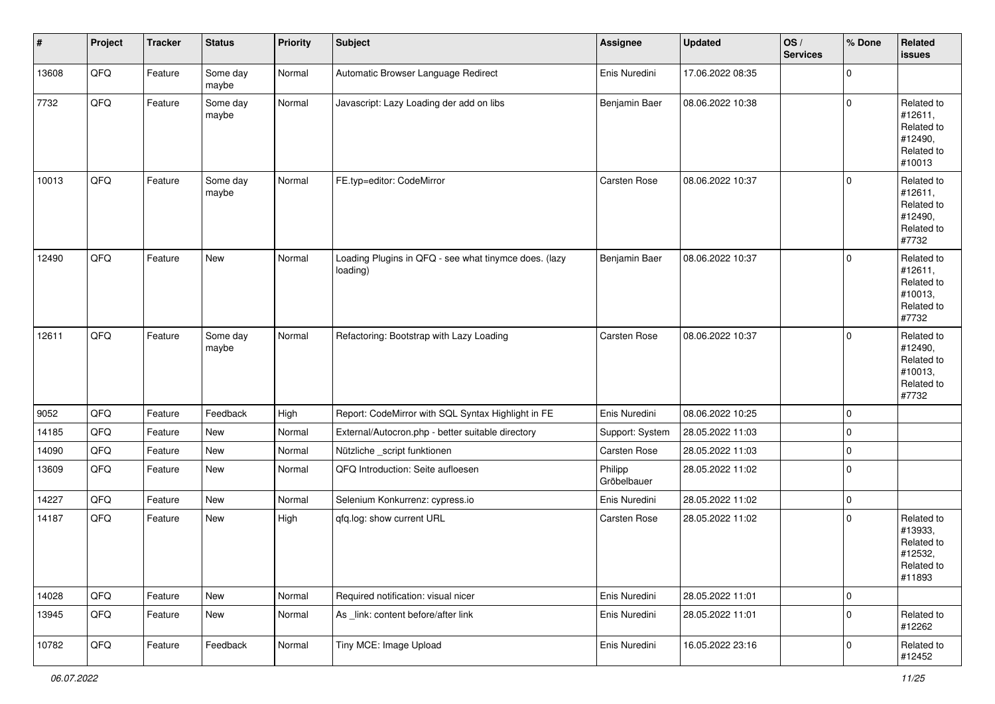| #     | Project | <b>Tracker</b> | <b>Status</b>     | <b>Priority</b> | <b>Subject</b>                                                    | Assignee               | <b>Updated</b>   | OS/<br><b>Services</b> | % Done      | Related<br><b>issues</b>                                               |
|-------|---------|----------------|-------------------|-----------------|-------------------------------------------------------------------|------------------------|------------------|------------------------|-------------|------------------------------------------------------------------------|
| 13608 | QFQ     | Feature        | Some day<br>maybe | Normal          | Automatic Browser Language Redirect                               | Enis Nuredini          | 17.06.2022 08:35 |                        | $\mathbf 0$ |                                                                        |
| 7732  | QFQ     | Feature        | Some day<br>maybe | Normal          | Javascript: Lazy Loading der add on libs                          | Benjamin Baer          | 08.06.2022 10:38 |                        | $\mathbf 0$ | Related to<br>#12611,<br>Related to<br>#12490,<br>Related to<br>#10013 |
| 10013 | QFQ     | Feature        | Some day<br>maybe | Normal          | FE.typ=editor: CodeMirror                                         | Carsten Rose           | 08.06.2022 10:37 |                        | $\mathbf 0$ | Related to<br>#12611,<br>Related to<br>#12490,<br>Related to<br>#7732  |
| 12490 | QFQ     | Feature        | New               | Normal          | Loading Plugins in QFQ - see what tinymce does. (lazy<br>loading) | Benjamin Baer          | 08.06.2022 10:37 |                        | $\mathbf 0$ | Related to<br>#12611,<br>Related to<br>#10013,<br>Related to<br>#7732  |
| 12611 | QFQ     | Feature        | Some day<br>maybe | Normal          | Refactoring: Bootstrap with Lazy Loading                          | Carsten Rose           | 08.06.2022 10:37 |                        | $\mathbf 0$ | Related to<br>#12490,<br>Related to<br>#10013,<br>Related to<br>#7732  |
| 9052  | QFQ     | Feature        | Feedback          | High            | Report: CodeMirror with SQL Syntax Highlight in FE                | Enis Nuredini          | 08.06.2022 10:25 |                        | $\mathbf 0$ |                                                                        |
| 14185 | QFQ     | Feature        | New               | Normal          | External/Autocron.php - better suitable directory                 | Support: System        | 28.05.2022 11:03 |                        | $\mathbf 0$ |                                                                        |
| 14090 | QFQ     | Feature        | New               | Normal          | Nützliche _script funktionen                                      | Carsten Rose           | 28.05.2022 11:03 |                        | $\mathbf 0$ |                                                                        |
| 13609 | QFQ     | Feature        | New               | Normal          | QFQ Introduction: Seite aufloesen                                 | Philipp<br>Gröbelbauer | 28.05.2022 11:02 |                        | $\mathbf 0$ |                                                                        |
| 14227 | QFQ     | Feature        | New               | Normal          | Selenium Konkurrenz: cypress.io                                   | Enis Nuredini          | 28.05.2022 11:02 |                        | 0           |                                                                        |
| 14187 | QFQ     | Feature        | New               | High            | qfq.log: show current URL                                         | Carsten Rose           | 28.05.2022 11:02 |                        | $\mathbf 0$ | Related to<br>#13933,<br>Related to<br>#12532,<br>Related to<br>#11893 |
| 14028 | QFQ     | Feature        | New               | Normal          | Required notification: visual nicer                               | Enis Nuredini          | 28.05.2022 11:01 |                        | 0           |                                                                        |
| 13945 | QFQ     | Feature        | New               | Normal          | As link: content before/after link                                | Enis Nuredini          | 28.05.2022 11:01 |                        | $\mathbf 0$ | Related to<br>#12262                                                   |
| 10782 | QFQ     | Feature        | Feedback          | Normal          | Tiny MCE: Image Upload                                            | Enis Nuredini          | 16.05.2022 23:16 |                        | 0           | Related to<br>#12452                                                   |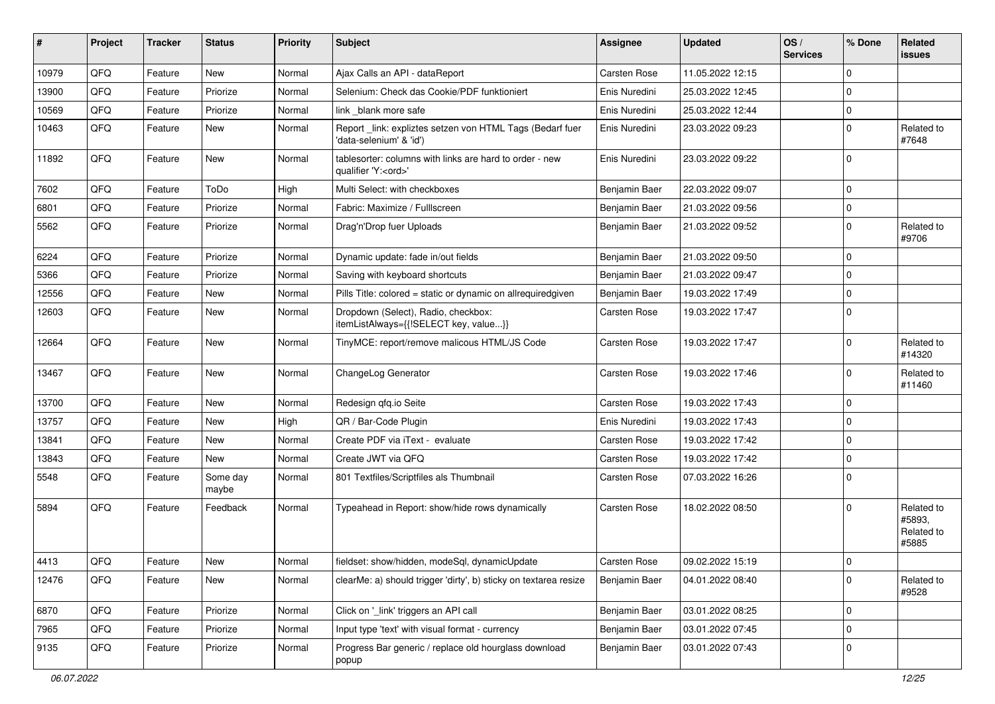| ∦     | Project | <b>Tracker</b> | <b>Status</b>     | <b>Priority</b> | <b>Subject</b>                                                                        | <b>Assignee</b> | <b>Updated</b>   | OS/<br><b>Services</b> | % Done   | Related<br><b>issues</b>                    |
|-------|---------|----------------|-------------------|-----------------|---------------------------------------------------------------------------------------|-----------------|------------------|------------------------|----------|---------------------------------------------|
| 10979 | QFQ     | Feature        | New               | Normal          | Ajax Calls an API - dataReport                                                        | Carsten Rose    | 11.05.2022 12:15 |                        | $\Omega$ |                                             |
| 13900 | QFQ     | Feature        | Priorize          | Normal          | Selenium: Check das Cookie/PDF funktioniert                                           | Enis Nuredini   | 25.03.2022 12:45 |                        | $\Omega$ |                                             |
| 10569 | QFQ     | Feature        | Priorize          | Normal          | link _blank more safe                                                                 | Enis Nuredini   | 25.03.2022 12:44 |                        | $\Omega$ |                                             |
| 10463 | QFQ     | Feature        | New               | Normal          | Report_link: expliztes setzen von HTML Tags (Bedarf fuer<br>'data-selenium' & 'id')   | Enis Nuredini   | 23.03.2022 09:23 |                        | $\Omega$ | Related to<br>#7648                         |
| 11892 | QFQ     | Feature        | New               | Normal          | tablesorter: columns with links are hard to order - new<br>qualifier 'Y: <ord>'</ord> | Enis Nuredini   | 23.03.2022 09:22 |                        | $\Omega$ |                                             |
| 7602  | QFQ     | Feature        | ToDo              | High            | Multi Select: with checkboxes                                                         | Benjamin Baer   | 22.03.2022 09:07 |                        | $\Omega$ |                                             |
| 6801  | QFQ     | Feature        | Priorize          | Normal          | Fabric: Maximize / FullIscreen                                                        | Benjamin Baer   | 21.03.2022 09:56 |                        | $\Omega$ |                                             |
| 5562  | QFQ     | Feature        | Priorize          | Normal          | Drag'n'Drop fuer Uploads                                                              | Benjamin Baer   | 21.03.2022 09:52 |                        | $\Omega$ | Related to<br>#9706                         |
| 6224  | QFQ     | Feature        | Priorize          | Normal          | Dynamic update: fade in/out fields                                                    | Benjamin Baer   | 21.03.2022 09:50 |                        | $\Omega$ |                                             |
| 5366  | QFQ     | Feature        | Priorize          | Normal          | Saving with keyboard shortcuts                                                        | Benjamin Baer   | 21.03.2022 09:47 |                        | $\Omega$ |                                             |
| 12556 | QFQ     | Feature        | New               | Normal          | Pills Title: colored = static or dynamic on allrequiredgiven                          | Benjamin Baer   | 19.03.2022 17:49 |                        | $\Omega$ |                                             |
| 12603 | QFQ     | Feature        | New               | Normal          | Dropdown (Select), Radio, checkbox:<br>itemListAlways={{!SELECT key, value}}          | Carsten Rose    | 19.03.2022 17:47 |                        | $\Omega$ |                                             |
| 12664 | QFQ     | Feature        | New               | Normal          | TinyMCE: report/remove malicous HTML/JS Code                                          | Carsten Rose    | 19.03.2022 17:47 |                        | $\Omega$ | Related to<br>#14320                        |
| 13467 | QFQ     | Feature        | New               | Normal          | ChangeLog Generator                                                                   | Carsten Rose    | 19.03.2022 17:46 |                        | $\Omega$ | Related to<br>#11460                        |
| 13700 | QFQ     | Feature        | New               | Normal          | Redesign qfq.io Seite                                                                 | Carsten Rose    | 19.03.2022 17:43 |                        | $\Omega$ |                                             |
| 13757 | QFQ     | Feature        | New               | High            | QR / Bar-Code Plugin                                                                  | Enis Nuredini   | 19.03.2022 17:43 |                        | $\Omega$ |                                             |
| 13841 | QFQ     | Feature        | New               | Normal          | Create PDF via iText - evaluate                                                       | Carsten Rose    | 19.03.2022 17:42 |                        | $\Omega$ |                                             |
| 13843 | QFQ     | Feature        | New               | Normal          | Create JWT via QFQ                                                                    | Carsten Rose    | 19.03.2022 17:42 |                        | $\Omega$ |                                             |
| 5548  | QFQ     | Feature        | Some day<br>maybe | Normal          | 801 Textfiles/Scriptfiles als Thumbnail                                               | Carsten Rose    | 07.03.2022 16:26 |                        | $\Omega$ |                                             |
| 5894  | QFQ     | Feature        | Feedback          | Normal          | Typeahead in Report: show/hide rows dynamically                                       | Carsten Rose    | 18.02.2022 08:50 |                        | $\Omega$ | Related to<br>#5893.<br>Related to<br>#5885 |
| 4413  | QFG     | Feature        | New               | Normal          | fieldset: show/hidden, modeSql, dynamicUpdate                                         | Carsten Rose    | 09.02.2022 15:19 |                        | 0        |                                             |
| 12476 | QFQ     | Feature        | New               | Normal          | clearMe: a) should trigger 'dirty', b) sticky on textarea resize                      | Benjamin Baer   | 04.01.2022 08:40 |                        | 0        | Related to<br>#9528                         |
| 6870  | QFQ     | Feature        | Priorize          | Normal          | Click on '_link' triggers an API call                                                 | Benjamin Baer   | 03.01.2022 08:25 |                        | $\Omega$ |                                             |
| 7965  | QFQ     | Feature        | Priorize          | Normal          | Input type 'text' with visual format - currency                                       | Benjamin Baer   | 03.01.2022 07:45 |                        | $\Omega$ |                                             |
| 9135  | QFQ     | Feature        | Priorize          | Normal          | Progress Bar generic / replace old hourglass download<br>popup                        | Benjamin Baer   | 03.01.2022 07:43 |                        | 0        |                                             |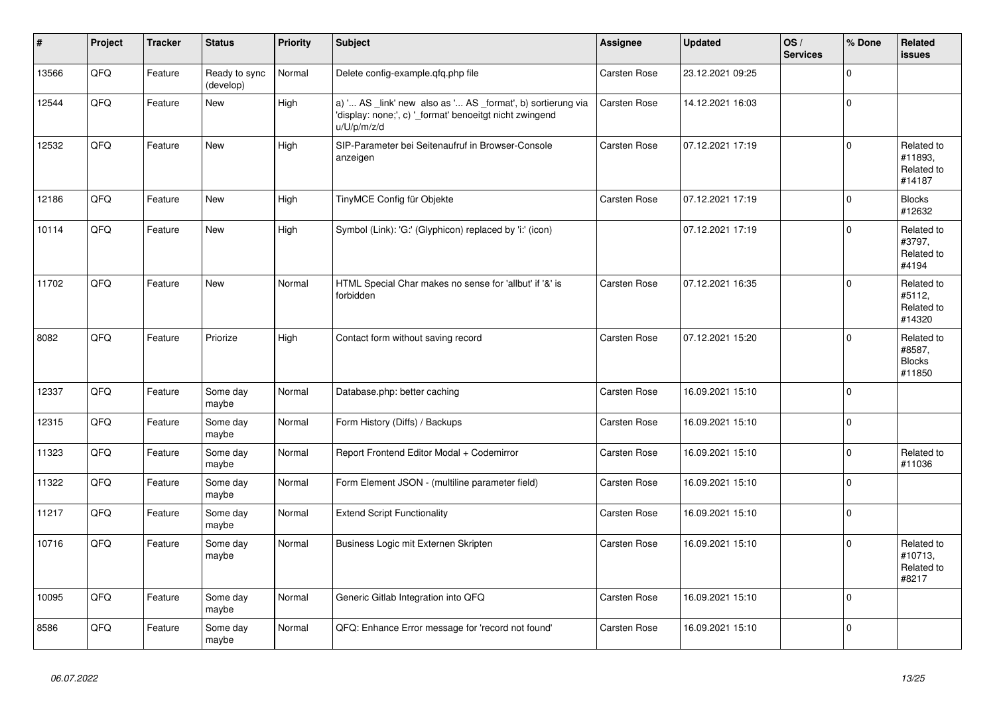| $\vert$ # | Project | <b>Tracker</b> | <b>Status</b>              | <b>Priority</b> | <b>Subject</b>                                                                                                                        | <b>Assignee</b> | <b>Updated</b>   | OS/<br><b>Services</b> | % Done      | <b>Related</b><br>issues                        |
|-----------|---------|----------------|----------------------------|-----------------|---------------------------------------------------------------------------------------------------------------------------------------|-----------------|------------------|------------------------|-------------|-------------------------------------------------|
| 13566     | QFQ     | Feature        | Ready to sync<br>(develop) | Normal          | Delete config-example.qfq.php file                                                                                                    | Carsten Rose    | 23.12.2021 09:25 |                        | $\Omega$    |                                                 |
| 12544     | QFQ     | Feature        | <b>New</b>                 | High            | a) ' AS _link' new also as ' AS _format', b) sortierung via<br>'display: none;', c) '_format' benoeitgt nicht zwingend<br>u/U/p/m/z/d | Carsten Rose    | 14.12.2021 16:03 |                        | 0           |                                                 |
| 12532     | QFQ     | Feature        | <b>New</b>                 | High            | SIP-Parameter bei Seitenaufruf in Browser-Console<br>anzeigen                                                                         | Carsten Rose    | 07.12.2021 17:19 |                        | $\mathbf 0$ | Related to<br>#11893,<br>Related to<br>#14187   |
| 12186     | QFQ     | Feature        | New                        | High            | TinyMCE Config für Objekte                                                                                                            | Carsten Rose    | 07.12.2021 17:19 |                        | $\mathbf 0$ | <b>Blocks</b><br>#12632                         |
| 10114     | QFQ     | Feature        | New                        | High            | Symbol (Link): 'G:' (Glyphicon) replaced by 'i:' (icon)                                                                               |                 | 07.12.2021 17:19 |                        | $\mathbf 0$ | Related to<br>#3797,<br>Related to<br>#4194     |
| 11702     | QFQ     | Feature        | <b>New</b>                 | Normal          | HTML Special Char makes no sense for 'allbut' if '&' is<br>forbidden                                                                  | Carsten Rose    | 07.12.2021 16:35 |                        | $\mathbf 0$ | Related to<br>#5112,<br>Related to<br>#14320    |
| 8082      | QFQ     | Feature        | Priorize                   | High            | Contact form without saving record                                                                                                    | Carsten Rose    | 07.12.2021 15:20 |                        | $\mathbf 0$ | Related to<br>#8587,<br><b>Blocks</b><br>#11850 |
| 12337     | QFQ     | Feature        | Some day<br>maybe          | Normal          | Database.php: better caching                                                                                                          | Carsten Rose    | 16.09.2021 15:10 |                        | $\Omega$    |                                                 |
| 12315     | QFQ     | Feature        | Some day<br>maybe          | Normal          | Form History (Diffs) / Backups                                                                                                        | Carsten Rose    | 16.09.2021 15:10 |                        | $\mathbf 0$ |                                                 |
| 11323     | QFQ     | Feature        | Some day<br>maybe          | Normal          | Report Frontend Editor Modal + Codemirror                                                                                             | Carsten Rose    | 16.09.2021 15:10 |                        | $\Omega$    | Related to<br>#11036                            |
| 11322     | QFQ     | Feature        | Some day<br>maybe          | Normal          | Form Element JSON - (multiline parameter field)                                                                                       | Carsten Rose    | 16.09.2021 15:10 |                        | $\mathbf 0$ |                                                 |
| 11217     | QFQ     | Feature        | Some day<br>maybe          | Normal          | <b>Extend Script Functionality</b>                                                                                                    | Carsten Rose    | 16.09.2021 15:10 |                        | $\mathbf 0$ |                                                 |
| 10716     | QFQ     | Feature        | Some day<br>maybe          | Normal          | Business Logic mit Externen Skripten                                                                                                  | Carsten Rose    | 16.09.2021 15:10 |                        | $\mathbf 0$ | Related to<br>#10713,<br>Related to<br>#8217    |
| 10095     | QFQ     | Feature        | Some day<br>maybe          | Normal          | Generic Gitlab Integration into QFQ                                                                                                   | Carsten Rose    | 16.09.2021 15:10 |                        | $\Omega$    |                                                 |
| 8586      | QFQ     | Feature        | Some day<br>maybe          | Normal          | QFQ: Enhance Error message for 'record not found'                                                                                     | Carsten Rose    | 16.09.2021 15:10 |                        | 0           |                                                 |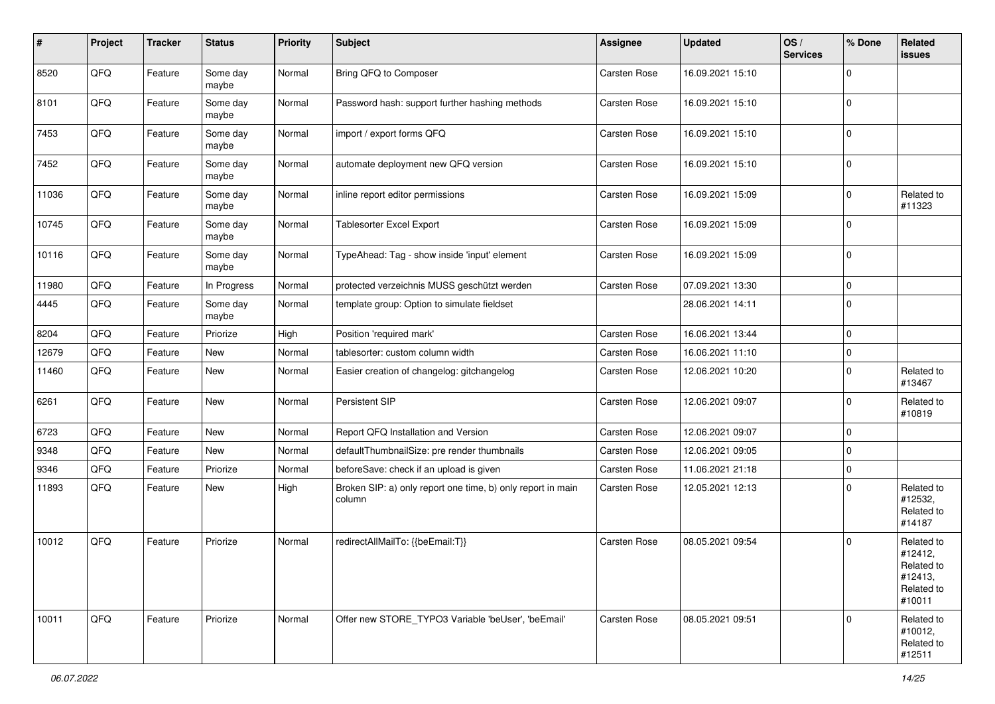| $\pmb{\#}$ | Project | <b>Tracker</b> | <b>Status</b>     | <b>Priority</b> | <b>Subject</b>                                                        | Assignee            | <b>Updated</b>   | OS/<br><b>Services</b> | % Done      | Related<br><b>issues</b>                                               |
|------------|---------|----------------|-------------------|-----------------|-----------------------------------------------------------------------|---------------------|------------------|------------------------|-------------|------------------------------------------------------------------------|
| 8520       | QFQ     | Feature        | Some day<br>maybe | Normal          | Bring QFQ to Composer                                                 | Carsten Rose        | 16.09.2021 15:10 |                        | $\mathbf 0$ |                                                                        |
| 8101       | QFQ     | Feature        | Some day<br>maybe | Normal          | Password hash: support further hashing methods                        | Carsten Rose        | 16.09.2021 15:10 |                        | $\mathbf 0$ |                                                                        |
| 7453       | QFQ     | Feature        | Some day<br>maybe | Normal          | import / export forms QFQ                                             | Carsten Rose        | 16.09.2021 15:10 |                        | $\mathbf 0$ |                                                                        |
| 7452       | QFQ     | Feature        | Some day<br>maybe | Normal          | automate deployment new QFQ version                                   | Carsten Rose        | 16.09.2021 15:10 |                        | $\mathbf 0$ |                                                                        |
| 11036      | QFQ     | Feature        | Some day<br>maybe | Normal          | inline report editor permissions                                      | Carsten Rose        | 16.09.2021 15:09 |                        | $\mathbf 0$ | Related to<br>#11323                                                   |
| 10745      | QFQ     | Feature        | Some day<br>maybe | Normal          | Tablesorter Excel Export                                              | Carsten Rose        | 16.09.2021 15:09 |                        | $\mathbf 0$ |                                                                        |
| 10116      | QFQ     | Feature        | Some day<br>maybe | Normal          | TypeAhead: Tag - show inside 'input' element                          | Carsten Rose        | 16.09.2021 15:09 |                        | $\mathbf 0$ |                                                                        |
| 11980      | QFQ     | Feature        | In Progress       | Normal          | protected verzeichnis MUSS geschützt werden                           | Carsten Rose        | 07.09.2021 13:30 |                        | $\pmb{0}$   |                                                                        |
| 4445       | QFQ     | Feature        | Some day<br>maybe | Normal          | template group: Option to simulate fieldset                           |                     | 28.06.2021 14:11 |                        | $\mathbf 0$ |                                                                        |
| 8204       | QFQ     | Feature        | Priorize          | High            | Position 'required mark'                                              | Carsten Rose        | 16.06.2021 13:44 |                        | $\mathbf 0$ |                                                                        |
| 12679      | QFQ     | Feature        | <b>New</b>        | Normal          | tablesorter: custom column width                                      | Carsten Rose        | 16.06.2021 11:10 |                        | $\pmb{0}$   |                                                                        |
| 11460      | QFQ     | Feature        | <b>New</b>        | Normal          | Easier creation of changelog: gitchangelog                            | Carsten Rose        | 12.06.2021 10:20 |                        | $\mathbf 0$ | Related to<br>#13467                                                   |
| 6261       | QFQ     | Feature        | <b>New</b>        | Normal          | Persistent SIP                                                        | Carsten Rose        | 12.06.2021 09:07 |                        | $\mathbf 0$ | Related to<br>#10819                                                   |
| 6723       | QFQ     | Feature        | New               | Normal          | Report QFQ Installation and Version                                   | Carsten Rose        | 12.06.2021 09:07 |                        | $\mathbf 0$ |                                                                        |
| 9348       | QFQ     | Feature        | <b>New</b>        | Normal          | defaultThumbnailSize: pre render thumbnails                           | Carsten Rose        | 12.06.2021 09:05 |                        | $\mathbf 0$ |                                                                        |
| 9346       | QFQ     | Feature        | Priorize          | Normal          | beforeSave: check if an upload is given                               | Carsten Rose        | 11.06.2021 21:18 |                        | $\mathbf 0$ |                                                                        |
| 11893      | QFQ     | Feature        | New               | High            | Broken SIP: a) only report one time, b) only report in main<br>column | Carsten Rose        | 12.05.2021 12:13 |                        | $\mathbf 0$ | Related to<br>#12532,<br>Related to<br>#14187                          |
| 10012      | QFQ     | Feature        | Priorize          | Normal          | redirectAllMailTo: {{beEmail:T}}                                      | <b>Carsten Rose</b> | 08.05.2021 09:54 |                        | $\mathbf 0$ | Related to<br>#12412,<br>Related to<br>#12413,<br>Related to<br>#10011 |
| 10011      | QFQ     | Feature        | Priorize          | Normal          | Offer new STORE TYPO3 Variable 'beUser', 'beEmail'                    | Carsten Rose        | 08.05.2021 09:51 |                        | $\mathbf 0$ | Related to<br>#10012,<br>Related to<br>#12511                          |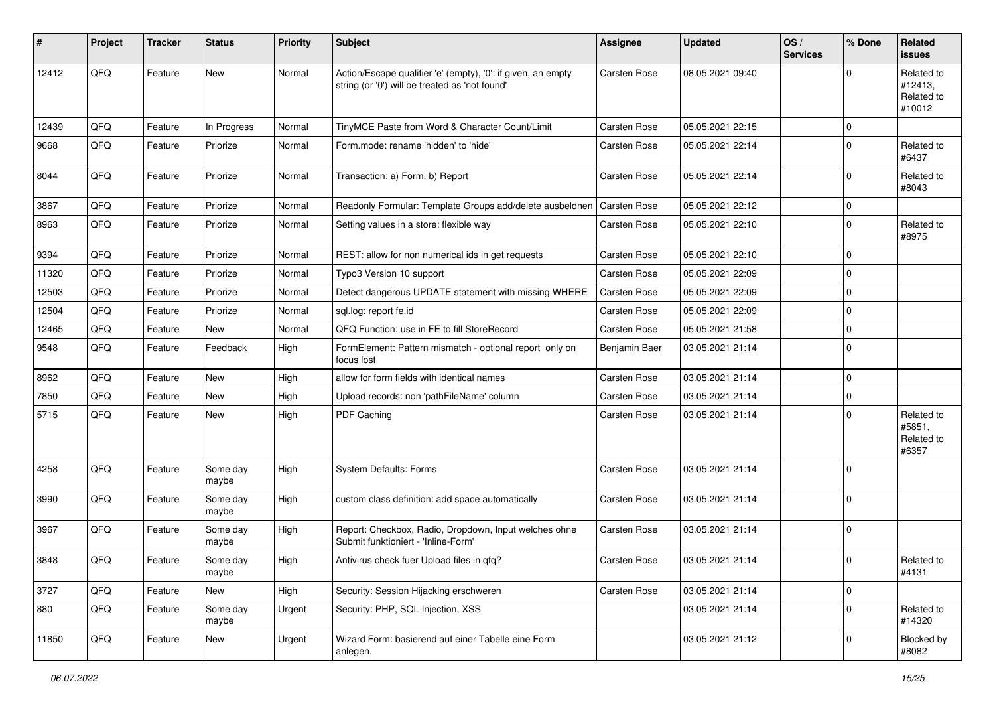| ∦     | Project | <b>Tracker</b> | <b>Status</b>     | <b>Priority</b> | <b>Subject</b>                                                                                                 | <b>Assignee</b> | <b>Updated</b>   | OS/<br><b>Services</b> | % Done      | Related<br><b>issues</b>                      |
|-------|---------|----------------|-------------------|-----------------|----------------------------------------------------------------------------------------------------------------|-----------------|------------------|------------------------|-------------|-----------------------------------------------|
| 12412 | QFQ     | Feature        | New               | Normal          | Action/Escape qualifier 'e' (empty), '0': if given, an empty<br>string (or '0') will be treated as 'not found' | Carsten Rose    | 08.05.2021 09:40 |                        | $\Omega$    | Related to<br>#12413,<br>Related to<br>#10012 |
| 12439 | QFQ     | Feature        | In Progress       | Normal          | TinyMCE Paste from Word & Character Count/Limit                                                                | Carsten Rose    | 05.05.2021 22:15 |                        | $\Omega$    |                                               |
| 9668  | QFQ     | Feature        | Priorize          | Normal          | Form.mode: rename 'hidden' to 'hide'                                                                           | Carsten Rose    | 05.05.2021 22:14 |                        | $\Omega$    | Related to<br>#6437                           |
| 8044  | QFQ     | Feature        | Priorize          | Normal          | Transaction: a) Form, b) Report                                                                                | Carsten Rose    | 05.05.2021 22:14 |                        | $\Omega$    | Related to<br>#8043                           |
| 3867  | QFQ     | Feature        | Priorize          | Normal          | Readonly Formular: Template Groups add/delete ausbeldnen                                                       | Carsten Rose    | 05.05.2021 22:12 |                        | $\Omega$    |                                               |
| 8963  | QFQ     | Feature        | Priorize          | Normal          | Setting values in a store: flexible way                                                                        | Carsten Rose    | 05.05.2021 22:10 |                        | $\Omega$    | Related to<br>#8975                           |
| 9394  | QFQ     | Feature        | Priorize          | Normal          | REST: allow for non numerical ids in get requests                                                              | Carsten Rose    | 05.05.2021 22:10 |                        | $\Omega$    |                                               |
| 11320 | QFQ     | Feature        | Priorize          | Normal          | Typo3 Version 10 support                                                                                       | Carsten Rose    | 05.05.2021 22:09 |                        | $\Omega$    |                                               |
| 12503 | QFQ     | Feature        | Priorize          | Normal          | Detect dangerous UPDATE statement with missing WHERE                                                           | Carsten Rose    | 05.05.2021 22:09 |                        | $\Omega$    |                                               |
| 12504 | QFQ     | Feature        | Priorize          | Normal          | sql.log: report fe.id                                                                                          | Carsten Rose    | 05.05.2021 22:09 |                        | $\Omega$    |                                               |
| 12465 | QFQ     | Feature        | New               | Normal          | QFQ Function: use in FE to fill StoreRecord                                                                    | Carsten Rose    | 05.05.2021 21:58 |                        | $\Omega$    |                                               |
| 9548  | QFQ     | Feature        | Feedback          | High            | FormElement: Pattern mismatch - optional report only on<br>focus lost                                          | Benjamin Baer   | 03.05.2021 21:14 |                        | $\Omega$    |                                               |
| 8962  | QFQ     | Feature        | New               | High            | allow for form fields with identical names                                                                     | Carsten Rose    | 03.05.2021 21:14 |                        | $\Omega$    |                                               |
| 7850  | QFQ     | Feature        | New               | High            | Upload records: non 'pathFileName' column                                                                      | Carsten Rose    | 03.05.2021 21:14 |                        | $\Omega$    |                                               |
| 5715  | QFQ     | Feature        | New               | High            | PDF Caching                                                                                                    | Carsten Rose    | 03.05.2021 21:14 |                        | $\Omega$    | Related to<br>#5851,<br>Related to<br>#6357   |
| 4258  | QFQ     | Feature        | Some day<br>maybe | High            | System Defaults: Forms                                                                                         | Carsten Rose    | 03.05.2021 21:14 |                        | $\Omega$    |                                               |
| 3990  | QFQ     | Feature        | Some day<br>maybe | High            | custom class definition: add space automatically                                                               | Carsten Rose    | 03.05.2021 21:14 |                        | $\Omega$    |                                               |
| 3967  | QFQ     | Feature        | Some day<br>maybe | High            | Report: Checkbox, Radio, Dropdown, Input welches ohne<br>Submit funktioniert - 'Inline-Form'                   | Carsten Rose    | 03.05.2021 21:14 |                        | $\Omega$    |                                               |
| 3848  | QFQ     | Feature        | Some day<br>maybe | High            | Antivirus check fuer Upload files in qfq?                                                                      | Carsten Rose    | 03.05.2021 21:14 |                        | 0           | Related to<br>#4131                           |
| 3727  | QFQ     | Feature        | New               | High            | Security: Session Hijacking erschweren                                                                         | Carsten Rose    | 03.05.2021 21:14 |                        | 0           |                                               |
| 880   | QFQ     | Feature        | Some day<br>maybe | Urgent          | Security: PHP, SQL Injection, XSS                                                                              |                 | 03.05.2021 21:14 |                        | $\mathbf 0$ | Related to<br>#14320                          |
| 11850 | QFG     | Feature        | New               | Urgent          | Wizard Form: basierend auf einer Tabelle eine Form<br>anlegen.                                                 |                 | 03.05.2021 21:12 |                        | 0           | <b>Blocked by</b><br>#8082                    |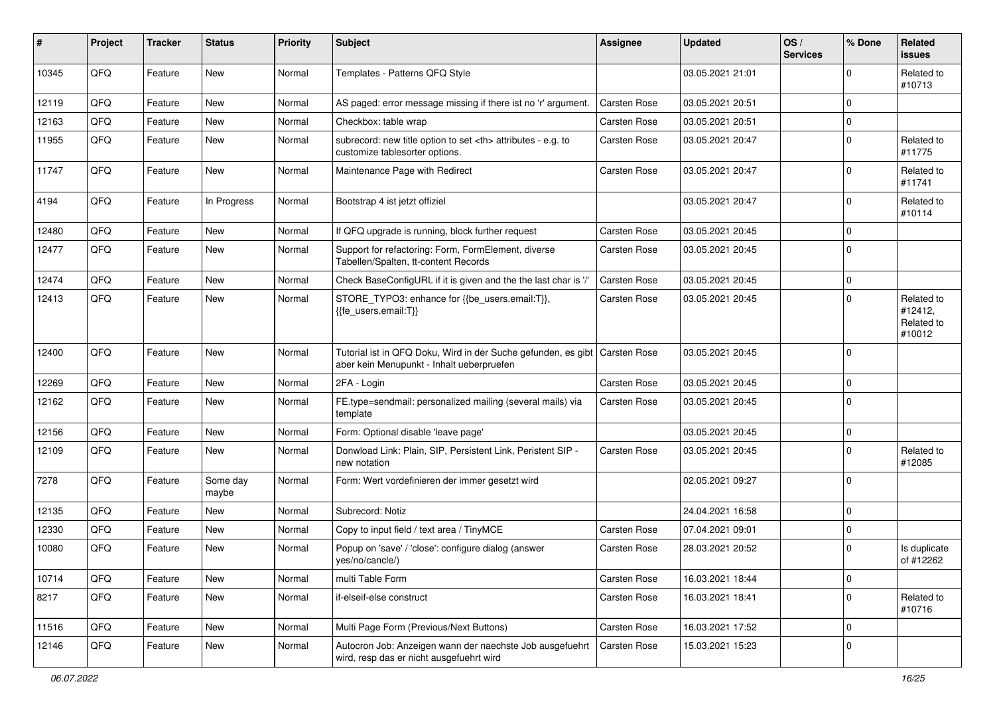| #     | Project | <b>Tracker</b> | <b>Status</b>     | <b>Priority</b> | <b>Subject</b>                                                                                             | <b>Assignee</b>                                        | <b>Updated</b>   | OS/<br><b>Services</b> | % Done      | Related<br><b>issues</b>                      |                      |
|-------|---------|----------------|-------------------|-----------------|------------------------------------------------------------------------------------------------------------|--------------------------------------------------------|------------------|------------------------|-------------|-----------------------------------------------|----------------------|
| 10345 | QFQ     | Feature        | New               | Normal          | Templates - Patterns QFQ Style                                                                             |                                                        | 03.05.2021 21:01 |                        | $\Omega$    | Related to<br>#10713                          |                      |
| 12119 | QFQ     | Feature        | New               | Normal          | AS paged: error message missing if there ist no 'r' argument.                                              | Carsten Rose                                           | 03.05.2021 20:51 |                        | $\Omega$    |                                               |                      |
| 12163 | QFQ     | Feature        | <b>New</b>        | Normal          | Checkbox: table wrap                                                                                       | Carsten Rose                                           | 03.05.2021 20:51 |                        | $\Omega$    |                                               |                      |
| 11955 | QFQ     | Feature        | New               | Normal          | subrecord: new title option to set <th> attributes - e.g. to<br/>customize tablesorter options.</th>       | attributes - e.g. to<br>customize tablesorter options. | Carsten Rose     | 03.05.2021 20:47       |             | $\Omega$                                      | Related to<br>#11775 |
| 11747 | QFQ     | Feature        | <b>New</b>        | Normal          | Maintenance Page with Redirect                                                                             | Carsten Rose                                           | 03.05.2021 20:47 |                        | $\Omega$    | Related to<br>#11741                          |                      |
| 4194  | QFQ     | Feature        | In Progress       | Normal          | Bootstrap 4 ist jetzt offiziel                                                                             |                                                        | 03.05.2021 20:47 |                        | $\Omega$    | Related to<br>#10114                          |                      |
| 12480 | QFQ     | Feature        | <b>New</b>        | Normal          | If QFQ upgrade is running, block further request                                                           | Carsten Rose                                           | 03.05.2021 20:45 |                        | $\Omega$    |                                               |                      |
| 12477 | QFQ     | Feature        | New               | Normal          | Support for refactoring: Form, FormElement, diverse<br>Tabellen/Spalten, tt-content Records                | Carsten Rose                                           | 03.05.2021 20:45 |                        | $\Omega$    |                                               |                      |
| 12474 | QFQ     | Feature        | <b>New</b>        | Normal          | Check BaseConfigURL if it is given and the the last char is '/'                                            | Carsten Rose                                           | 03.05.2021 20:45 |                        | $\Omega$    |                                               |                      |
| 12413 | QFQ     | Feature        | <b>New</b>        | Normal          | STORE_TYPO3: enhance for {{be_users.email:T}},<br>{{fe users.email:T}}                                     | Carsten Rose                                           | 03.05.2021 20:45 |                        | $\Omega$    | Related to<br>#12412,<br>Related to<br>#10012 |                      |
| 12400 | QFQ     | Feature        | <b>New</b>        | Normal          | Tutorial ist in QFQ Doku, Wird in der Suche gefunden, es gibt<br>aber kein Menupunkt - Inhalt ueberpruefen | Carsten Rose                                           | 03.05.2021 20:45 |                        | $\Omega$    |                                               |                      |
| 12269 | QFQ     | Feature        | <b>New</b>        | Normal          | 2FA - Login                                                                                                | Carsten Rose                                           | 03.05.2021 20:45 |                        | $\Omega$    |                                               |                      |
| 12162 | QFQ     | Feature        | New               | Normal          | FE.type=sendmail: personalized mailing (several mails) via<br>template                                     | Carsten Rose                                           | 03.05.2021 20:45 |                        | $\Omega$    |                                               |                      |
| 12156 | QFQ     | Feature        | <b>New</b>        | Normal          | Form: Optional disable 'leave page'                                                                        |                                                        | 03.05.2021 20:45 |                        | $\mathbf 0$ |                                               |                      |
| 12109 | QFQ     | Feature        | New               | Normal          | Donwload Link: Plain, SIP, Persistent Link, Peristent SIP -<br>new notation                                | Carsten Rose                                           | 03.05.2021 20:45 |                        | $\Omega$    | Related to<br>#12085                          |                      |
| 7278  | QFQ     | Feature        | Some day<br>maybe | Normal          | Form: Wert vordefinieren der immer gesetzt wird                                                            |                                                        | 02.05.2021 09:27 |                        | $\Omega$    |                                               |                      |
| 12135 | QFQ     | Feature        | <b>New</b>        | Normal          | Subrecord: Notiz                                                                                           |                                                        | 24.04.2021 16:58 |                        | $\Omega$    |                                               |                      |
| 12330 | QFQ     | Feature        | New               | Normal          | Copy to input field / text area / TinyMCE                                                                  | Carsten Rose                                           | 07.04.2021 09:01 |                        | $\Omega$    |                                               |                      |
| 10080 | QFQ     | Feature        | <b>New</b>        | Normal          | Popup on 'save' / 'close': configure dialog (answer<br>yes/no/cancle/)                                     | Carsten Rose                                           | 28.03.2021 20:52 |                        | $\Omega$    | Is duplicate<br>of #12262                     |                      |
| 10714 | QFQ     | Feature        | New               | Normal          | multi Table Form                                                                                           | Carsten Rose                                           | 16.03.2021 18:44 |                        | 0           |                                               |                      |
| 8217  | QFQ     | Feature        | New               | Normal          | if-elseif-else construct                                                                                   | Carsten Rose                                           | 16.03.2021 18:41 |                        | 0           | Related to<br>#10716                          |                      |
| 11516 | QFQ     | Feature        | New               | Normal          | Multi Page Form (Previous/Next Buttons)                                                                    | Carsten Rose                                           | 16.03.2021 17:52 |                        | 0           |                                               |                      |
| 12146 | QFQ     | Feature        | New               | Normal          | Autocron Job: Anzeigen wann der naechste Job ausgefuehrt<br>wird, resp das er nicht ausgefuehrt wird       | Carsten Rose                                           | 15.03.2021 15:23 |                        | 0           |                                               |                      |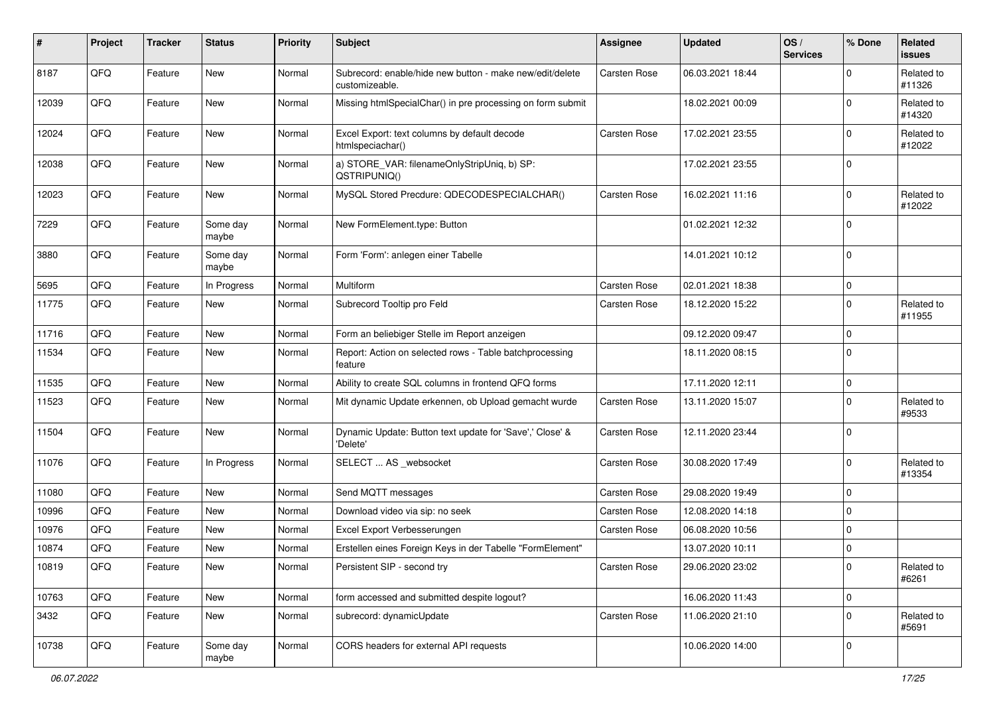| #     | Project | <b>Tracker</b> | <b>Status</b>     | <b>Priority</b> | <b>Subject</b>                                                             | <b>Assignee</b> | <b>Updated</b>   | OS/<br><b>Services</b> | % Done      | Related<br><b>issues</b> |
|-------|---------|----------------|-------------------|-----------------|----------------------------------------------------------------------------|-----------------|------------------|------------------------|-------------|--------------------------|
| 8187  | QFQ     | Feature        | New               | Normal          | Subrecord: enable/hide new button - make new/edit/delete<br>customizeable. | Carsten Rose    | 06.03.2021 18:44 |                        | $\mathbf 0$ | Related to<br>#11326     |
| 12039 | QFQ     | Feature        | New               | Normal          | Missing htmlSpecialChar() in pre processing on form submit                 |                 | 18.02.2021 00:09 |                        | $\mathbf 0$ | Related to<br>#14320     |
| 12024 | QFQ     | Feature        | New               | Normal          | Excel Export: text columns by default decode<br>htmlspeciachar()           | Carsten Rose    | 17.02.2021 23:55 |                        | $\mathbf 0$ | Related to<br>#12022     |
| 12038 | QFQ     | Feature        | <b>New</b>        | Normal          | a) STORE_VAR: filenameOnlyStripUniq, b) SP:<br>QSTRIPUNIQ()                |                 | 17.02.2021 23:55 |                        | $\mathbf 0$ |                          |
| 12023 | QFQ     | Feature        | <b>New</b>        | Normal          | MySQL Stored Precdure: QDECODESPECIALCHAR()                                | Carsten Rose    | 16.02.2021 11:16 |                        | $\mathbf 0$ | Related to<br>#12022     |
| 7229  | QFQ     | Feature        | Some day<br>maybe | Normal          | New FormElement.type: Button                                               |                 | 01.02.2021 12:32 |                        | $\mathbf 0$ |                          |
| 3880  | QFQ     | Feature        | Some day<br>maybe | Normal          | Form 'Form': anlegen einer Tabelle                                         |                 | 14.01.2021 10:12 |                        | $\mathbf 0$ |                          |
| 5695  | QFQ     | Feature        | In Progress       | Normal          | Multiform                                                                  | Carsten Rose    | 02.01.2021 18:38 |                        | $\mathbf 0$ |                          |
| 11775 | QFQ     | Feature        | New               | Normal          | Subrecord Tooltip pro Feld                                                 | Carsten Rose    | 18.12.2020 15:22 |                        | $\mathbf 0$ | Related to<br>#11955     |
| 11716 | QFQ     | Feature        | <b>New</b>        | Normal          | Form an beliebiger Stelle im Report anzeigen                               |                 | 09.12.2020 09:47 |                        | $\mathbf 0$ |                          |
| 11534 | QFQ     | Feature        | New               | Normal          | Report: Action on selected rows - Table batchprocessing<br>feature         |                 | 18.11.2020 08:15 |                        | $\mathbf 0$ |                          |
| 11535 | QFQ     | Feature        | New               | Normal          | Ability to create SQL columns in frontend QFQ forms                        |                 | 17.11.2020 12:11 |                        | $\mathbf 0$ |                          |
| 11523 | QFQ     | Feature        | New               | Normal          | Mit dynamic Update erkennen, ob Upload gemacht wurde                       | Carsten Rose    | 13.11.2020 15:07 |                        | $\mathbf 0$ | Related to<br>#9533      |
| 11504 | QFQ     | Feature        | New               | Normal          | Dynamic Update: Button text update for 'Save',' Close' &<br>'Delete'       | Carsten Rose    | 12.11.2020 23:44 |                        | $\mathbf 0$ |                          |
| 11076 | QFQ     | Feature        | In Progress       | Normal          | SELECT  AS _websocket                                                      | Carsten Rose    | 30.08.2020 17:49 |                        | $\mathbf 0$ | Related to<br>#13354     |
| 11080 | QFQ     | Feature        | <b>New</b>        | Normal          | Send MQTT messages                                                         | Carsten Rose    | 29.08.2020 19:49 |                        | $\mathbf 0$ |                          |
| 10996 | QFQ     | Feature        | <b>New</b>        | Normal          | Download video via sip: no seek                                            | Carsten Rose    | 12.08.2020 14:18 |                        | $\mathbf 0$ |                          |
| 10976 | QFQ     | Feature        | New               | Normal          | Excel Export Verbesserungen                                                | Carsten Rose    | 06.08.2020 10:56 |                        | $\mathbf 0$ |                          |
| 10874 | QFQ     | Feature        | <b>New</b>        | Normal          | Erstellen eines Foreign Keys in der Tabelle "FormElement"                  |                 | 13.07.2020 10:11 |                        | $\mathbf 0$ |                          |
| 10819 | QFQ     | Feature        | New               | Normal          | Persistent SIP - second try                                                | Carsten Rose    | 29.06.2020 23:02 |                        | $\mathbf 0$ | Related to<br>#6261      |
| 10763 | QFQ     | Feature        | New               | Normal          | form accessed and submitted despite logout?                                |                 | 16.06.2020 11:43 |                        | $\pmb{0}$   |                          |
| 3432  | QFQ     | Feature        | New               | Normal          | subrecord: dynamicUpdate                                                   | Carsten Rose    | 11.06.2020 21:10 |                        | $\mathbf 0$ | Related to<br>#5691      |
| 10738 | QFQ     | Feature        | Some day<br>maybe | Normal          | CORS headers for external API requests                                     |                 | 10.06.2020 14:00 |                        | $\mathbf 0$ |                          |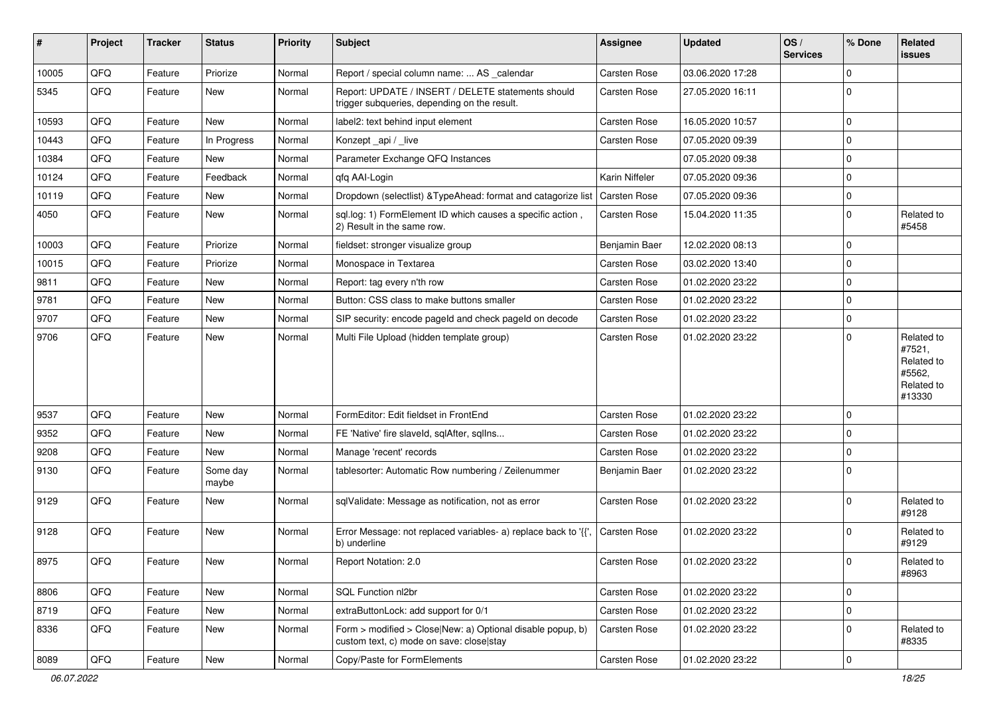| ∦     | Project | <b>Tracker</b> | <b>Status</b>     | <b>Priority</b> | Subject                                                                                                | Assignee            | <b>Updated</b>   | OS/<br><b>Services</b> | % Done      | <b>Related</b><br>issues                                             |
|-------|---------|----------------|-------------------|-----------------|--------------------------------------------------------------------------------------------------------|---------------------|------------------|------------------------|-------------|----------------------------------------------------------------------|
| 10005 | QFQ     | Feature        | Priorize          | Normal          | Report / special column name:  AS _calendar                                                            | Carsten Rose        | 03.06.2020 17:28 |                        | $\mathbf 0$ |                                                                      |
| 5345  | QFQ     | Feature        | New               | Normal          | Report: UPDATE / INSERT / DELETE statements should<br>trigger subqueries, depending on the result.     | Carsten Rose        | 27.05.2020 16:11 |                        | $\mathbf 0$ |                                                                      |
| 10593 | QFQ     | Feature        | New               | Normal          | label2: text behind input element                                                                      | Carsten Rose        | 16.05.2020 10:57 |                        | $\mathbf 0$ |                                                                      |
| 10443 | QFQ     | Feature        | In Progress       | Normal          | Konzept_api / _live                                                                                    | Carsten Rose        | 07.05.2020 09:39 |                        | $\Omega$    |                                                                      |
| 10384 | QFQ     | Feature        | New               | Normal          | Parameter Exchange QFQ Instances                                                                       |                     | 07.05.2020 09:38 |                        | $\mathbf 0$ |                                                                      |
| 10124 | QFQ     | Feature        | Feedback          | Normal          | qfq AAI-Login                                                                                          | Karin Niffeler      | 07.05.2020 09:36 |                        | $\Omega$    |                                                                      |
| 10119 | QFQ     | Feature        | New               | Normal          | Dropdown (selectlist) & TypeAhead: format and catagorize list                                          | Carsten Rose        | 07.05.2020 09:36 |                        | $\Omega$    |                                                                      |
| 4050  | QFQ     | Feature        | New               | Normal          | sql.log: 1) FormElement ID which causes a specific action,<br>2) Result in the same row.               | <b>Carsten Rose</b> | 15.04.2020 11:35 |                        | $\mathbf 0$ | Related to<br>#5458                                                  |
| 10003 | QFQ     | Feature        | Priorize          | Normal          | fieldset: stronger visualize group                                                                     | Benjamin Baer       | 12.02.2020 08:13 |                        | $\mathbf 0$ |                                                                      |
| 10015 | QFQ     | Feature        | Priorize          | Normal          | Monospace in Textarea                                                                                  | Carsten Rose        | 03.02.2020 13:40 |                        | $\mathbf 0$ |                                                                      |
| 9811  | QFQ     | Feature        | New               | Normal          | Report: tag every n'th row                                                                             | Carsten Rose        | 01.02.2020 23:22 |                        | $\Omega$    |                                                                      |
| 9781  | QFQ     | Feature        | New               | Normal          | Button: CSS class to make buttons smaller                                                              | Carsten Rose        | 01.02.2020 23:22 |                        | $\mathbf 0$ |                                                                      |
| 9707  | QFQ     | Feature        | New               | Normal          | SIP security: encode pageld and check pageld on decode                                                 | Carsten Rose        | 01.02.2020 23:22 |                        | 0           |                                                                      |
| 9706  | QFQ     | Feature        | New               | Normal          | Multi File Upload (hidden template group)                                                              | Carsten Rose        | 01.02.2020 23:22 |                        | $\Omega$    | Related to<br>#7521,<br>Related to<br>#5562,<br>Related to<br>#13330 |
| 9537  | QFQ     | Feature        | New               | Normal          | FormEditor: Edit fieldset in FrontEnd                                                                  | Carsten Rose        | 01.02.2020 23:22 |                        | $\mathbf 0$ |                                                                      |
| 9352  | QFQ     | Feature        | New               | Normal          | FE 'Native' fire slaveld, sqlAfter, sqlIns                                                             | Carsten Rose        | 01.02.2020 23:22 |                        | $\Omega$    |                                                                      |
| 9208  | QFQ     | Feature        | New               | Normal          | Manage 'recent' records                                                                                | Carsten Rose        | 01.02.2020 23:22 |                        | $\Omega$    |                                                                      |
| 9130  | QFQ     | Feature        | Some day<br>maybe | Normal          | tablesorter: Automatic Row numbering / Zeilenummer                                                     | Benjamin Baer       | 01.02.2020 23:22 |                        | $\mathbf 0$ |                                                                      |
| 9129  | QFQ     | Feature        | New               | Normal          | sqlValidate: Message as notification, not as error                                                     | Carsten Rose        | 01.02.2020 23:22 |                        | $\Omega$    | Related to<br>#9128                                                  |
| 9128  | QFQ     | Feature        | New               | Normal          | Error Message: not replaced variables- a) replace back to '{',<br>b) underline                         | Carsten Rose        | 01.02.2020 23:22 |                        | $\mathbf 0$ | Related to<br>#9129                                                  |
| 8975  | QFQ     | Feature        | New               | Normal          | Report Notation: 2.0                                                                                   | Carsten Rose        | 01.02.2020 23:22 |                        | $\mathbf 0$ | Related to<br>#8963                                                  |
| 8806  | QFQ     | Feature        | New               | Normal          | SQL Function nl2br                                                                                     | Carsten Rose        | 01.02.2020 23:22 |                        | $\mathbf 0$ |                                                                      |
| 8719  | QFQ     | Feature        | New               | Normal          | extraButtonLock: add support for 0/1                                                                   | Carsten Rose        | 01.02.2020 23:22 |                        | $\mathbf 0$ |                                                                      |
| 8336  | QFQ     | Feature        | New               | Normal          | Form > modified > Close New: a) Optional disable popup, b)<br>custom text, c) mode on save: close stay | Carsten Rose        | 01.02.2020 23:22 |                        | 0           | Related to<br>#8335                                                  |
| 8089  | QFQ     | Feature        | New               | Normal          | Copy/Paste for FormElements                                                                            | Carsten Rose        | 01.02.2020 23:22 |                        | $\mathbf 0$ |                                                                      |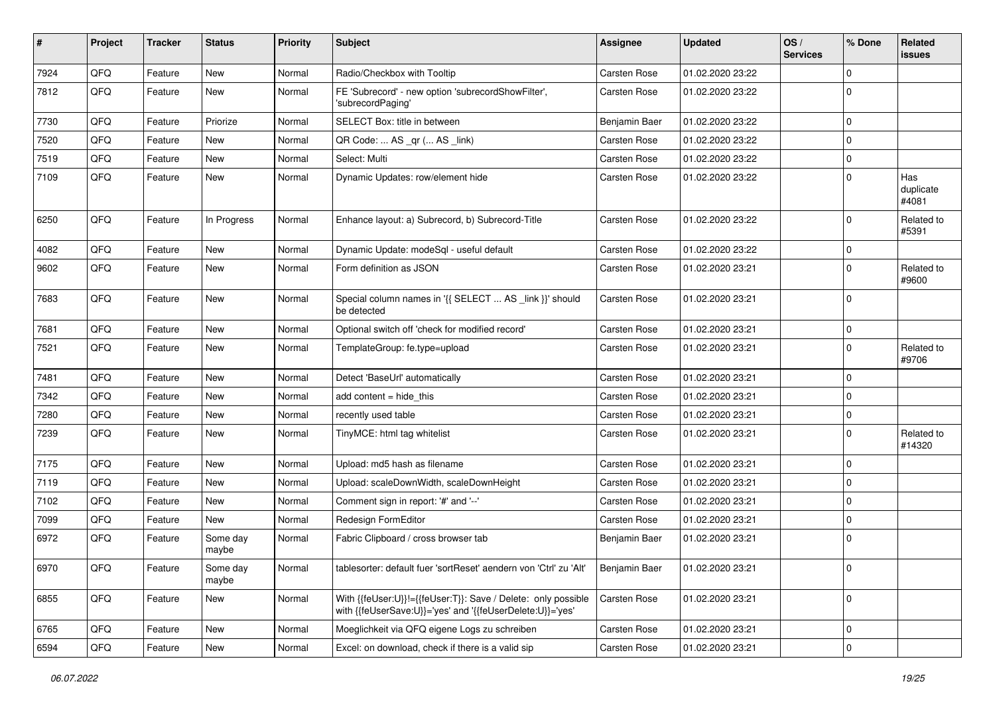| #    | Project | <b>Tracker</b> | <b>Status</b>     | <b>Priority</b> | Subject                                                                                                                    | Assignee            | <b>Updated</b>   | OS/<br><b>Services</b> | % Done      | <b>Related</b><br>issues  |
|------|---------|----------------|-------------------|-----------------|----------------------------------------------------------------------------------------------------------------------------|---------------------|------------------|------------------------|-------------|---------------------------|
| 7924 | QFQ     | Feature        | New               | Normal          | Radio/Checkbox with Tooltip                                                                                                | Carsten Rose        | 01.02.2020 23:22 |                        | $\mathbf 0$ |                           |
| 7812 | QFQ     | Feature        | New               | Normal          | FE 'Subrecord' - new option 'subrecordShowFilter',<br>'subrecordPaging'                                                    | Carsten Rose        | 01.02.2020 23:22 |                        | $\mathbf 0$ |                           |
| 7730 | QFQ     | Feature        | Priorize          | Normal          | SELECT Box: title in between                                                                                               | Benjamin Baer       | 01.02.2020 23:22 |                        | $\mathbf 0$ |                           |
| 7520 | QFQ     | Feature        | New               | Normal          | QR Code:  AS _qr ( AS _link)                                                                                               | Carsten Rose        | 01.02.2020 23:22 |                        | $\Omega$    |                           |
| 7519 | QFQ     | Feature        | New               | Normal          | Select: Multi                                                                                                              | <b>Carsten Rose</b> | 01.02.2020 23:22 |                        | $\mathbf 0$ |                           |
| 7109 | QFQ     | Feature        | New               | Normal          | Dynamic Updates: row/element hide                                                                                          | Carsten Rose        | 01.02.2020 23:22 |                        | $\mathbf 0$ | Has<br>duplicate<br>#4081 |
| 6250 | QFQ     | Feature        | In Progress       | Normal          | Enhance layout: a) Subrecord, b) Subrecord-Title                                                                           | Carsten Rose        | 01.02.2020 23:22 |                        | $\mathbf 0$ | Related to<br>#5391       |
| 4082 | QFQ     | Feature        | New               | Normal          | Dynamic Update: modeSql - useful default                                                                                   | Carsten Rose        | 01.02.2020 23:22 |                        | $\mathbf 0$ |                           |
| 9602 | QFQ     | Feature        | New               | Normal          | Form definition as JSON                                                                                                    | Carsten Rose        | 01.02.2020 23:21 |                        | $\mathbf 0$ | Related to<br>#9600       |
| 7683 | QFQ     | Feature        | New               | Normal          | Special column names in '{{ SELECT  AS _link }}' should<br>be detected                                                     | Carsten Rose        | 01.02.2020 23:21 |                        | $\mathbf 0$ |                           |
| 7681 | QFQ     | Feature        | New               | Normal          | Optional switch off 'check for modified record'                                                                            | <b>Carsten Rose</b> | 01.02.2020 23:21 |                        | $\mathbf 0$ |                           |
| 7521 | QFQ     | Feature        | New               | Normal          | TemplateGroup: fe.type=upload                                                                                              | Carsten Rose        | 01.02.2020 23:21 |                        | 0           | Related to<br>#9706       |
| 7481 | QFQ     | Feature        | New               | Normal          | Detect 'BaseUrl' automatically                                                                                             | Carsten Rose        | 01.02.2020 23:21 |                        | $\mathbf 0$ |                           |
| 7342 | QFQ     | Feature        | New               | Normal          | add content $=$ hide this                                                                                                  | Carsten Rose        | 01.02.2020 23:21 |                        | $\mathbf 0$ |                           |
| 7280 | QFQ     | Feature        | New               | Normal          | recently used table                                                                                                        | Carsten Rose        | 01.02.2020 23:21 |                        | $\mathbf 0$ |                           |
| 7239 | QFQ     | Feature        | New               | Normal          | TinyMCE: html tag whitelist                                                                                                | Carsten Rose        | 01.02.2020 23:21 |                        | $\Omega$    | Related to<br>#14320      |
| 7175 | QFQ     | Feature        | New               | Normal          | Upload: md5 hash as filename                                                                                               | Carsten Rose        | 01.02.2020 23:21 |                        | $\mathbf 0$ |                           |
| 7119 | QFQ     | Feature        | New               | Normal          | Upload: scaleDownWidth, scaleDownHeight                                                                                    | Carsten Rose        | 01.02.2020 23:21 |                        | $\Omega$    |                           |
| 7102 | QFQ     | Feature        | New               | Normal          | Comment sign in report: '#' and '--'                                                                                       | Carsten Rose        | 01.02.2020 23:21 |                        | $\mathbf 0$ |                           |
| 7099 | QFQ     | Feature        | New               | Normal          | Redesign FormEditor                                                                                                        | Carsten Rose        | 01.02.2020 23:21 |                        | 0           |                           |
| 6972 | QFQ     | Feature        | Some day<br>maybe | Normal          | Fabric Clipboard / cross browser tab                                                                                       | Benjamin Baer       | 01.02.2020 23:21 |                        | $\mathbf 0$ |                           |
| 6970 | QFQ     | Feature        | Some day<br>maybe | Normal          | tablesorter: default fuer 'sortReset' aendern von 'Ctrl' zu 'Alt'                                                          | Benjamin Baer       | 01.02.2020 23:21 |                        | 0           |                           |
| 6855 | QFQ     | Feature        | New               | Normal          | With {{feUser:U}}!={{feUser:T}}: Save / Delete: only possible<br>with {{feUserSave:U}}='yes' and '{{feUserDelete:U}}='yes' | Carsten Rose        | 01.02.2020 23:21 |                        | $\mathbf 0$ |                           |
| 6765 | QFQ     | Feature        | New               | Normal          | Moeglichkeit via QFQ eigene Logs zu schreiben                                                                              | Carsten Rose        | 01.02.2020 23:21 |                        | $\mathbf 0$ |                           |
| 6594 | QFQ     | Feature        | New               | Normal          | Excel: on download, check if there is a valid sip                                                                          | Carsten Rose        | 01.02.2020 23:21 |                        | $\mathbf 0$ |                           |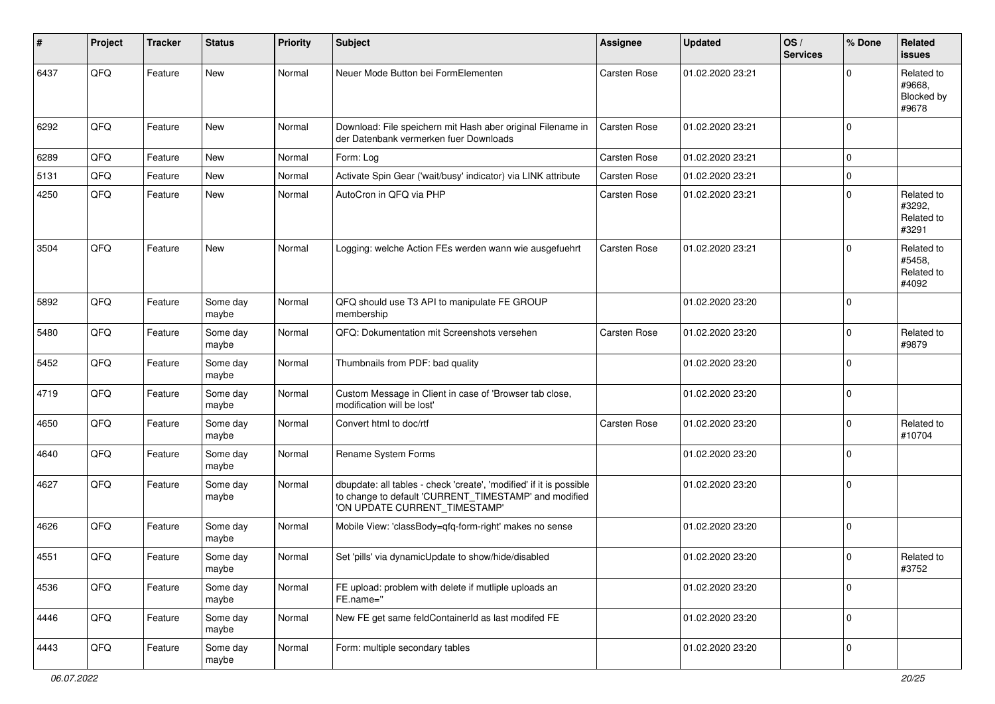| #    | Project | <b>Tracker</b> | <b>Status</b>     | <b>Priority</b> | <b>Subject</b>                                                                                                                                                | <b>Assignee</b> | <b>Updated</b>   | OS/<br><b>Services</b> | % Done      | Related<br>issues                           |
|------|---------|----------------|-------------------|-----------------|---------------------------------------------------------------------------------------------------------------------------------------------------------------|-----------------|------------------|------------------------|-------------|---------------------------------------------|
| 6437 | QFQ     | Feature        | New               | Normal          | Neuer Mode Button bei FormElementen                                                                                                                           | Carsten Rose    | 01.02.2020 23:21 |                        | 0           | Related to<br>#9668.<br>Blocked by<br>#9678 |
| 6292 | QFQ     | Feature        | New               | Normal          | Download: File speichern mit Hash aber original Filename in<br>der Datenbank vermerken fuer Downloads                                                         | Carsten Rose    | 01.02.2020 23:21 |                        | $\mathbf 0$ |                                             |
| 6289 | QFQ     | Feature        | New               | Normal          | Form: Log                                                                                                                                                     | Carsten Rose    | 01.02.2020 23:21 |                        | $\pmb{0}$   |                                             |
| 5131 | QFQ     | Feature        | New               | Normal          | Activate Spin Gear ('wait/busy' indicator) via LINK attribute                                                                                                 | Carsten Rose    | 01.02.2020 23:21 |                        | $\pmb{0}$   |                                             |
| 4250 | QFQ     | Feature        | New               | Normal          | AutoCron in QFQ via PHP                                                                                                                                       | Carsten Rose    | 01.02.2020 23:21 |                        | $\mathbf 0$ | Related to<br>#3292,<br>Related to<br>#3291 |
| 3504 | QFQ     | Feature        | New               | Normal          | Logging: welche Action FEs werden wann wie ausgefuehrt                                                                                                        | Carsten Rose    | 01.02.2020 23:21 |                        | $\mathbf 0$ | Related to<br>#5458,<br>Related to<br>#4092 |
| 5892 | QFQ     | Feature        | Some day<br>maybe | Normal          | QFQ should use T3 API to manipulate FE GROUP<br>membership                                                                                                    |                 | 01.02.2020 23:20 |                        | $\mathbf 0$ |                                             |
| 5480 | QFQ     | Feature        | Some day<br>maybe | Normal          | QFQ: Dokumentation mit Screenshots versehen                                                                                                                   | Carsten Rose    | 01.02.2020 23:20 |                        | $\mathbf 0$ | Related to<br>#9879                         |
| 5452 | QFQ     | Feature        | Some day<br>maybe | Normal          | Thumbnails from PDF: bad quality                                                                                                                              |                 | 01.02.2020 23:20 |                        | $\mathbf 0$ |                                             |
| 4719 | QFQ     | Feature        | Some day<br>maybe | Normal          | Custom Message in Client in case of 'Browser tab close,<br>modification will be lost'                                                                         |                 | 01.02.2020 23:20 |                        | $\mathbf 0$ |                                             |
| 4650 | QFQ     | Feature        | Some day<br>maybe | Normal          | Convert html to doc/rtf                                                                                                                                       | Carsten Rose    | 01.02.2020 23:20 |                        | $\mathbf 0$ | Related to<br>#10704                        |
| 4640 | QFQ     | Feature        | Some day<br>maybe | Normal          | Rename System Forms                                                                                                                                           |                 | 01.02.2020 23:20 |                        | $\mathbf 0$ |                                             |
| 4627 | QFQ     | Feature        | Some day<br>maybe | Normal          | dbupdate: all tables - check 'create', 'modified' if it is possible<br>to change to default 'CURRENT_TIMESTAMP' and modified<br>'ON UPDATE CURRENT_TIMESTAMP' |                 | 01.02.2020 23:20 |                        | $\mathbf 0$ |                                             |
| 4626 | QFQ     | Feature        | Some day<br>maybe | Normal          | Mobile View: 'classBody=qfq-form-right' makes no sense                                                                                                        |                 | 01.02.2020 23:20 |                        | $\mathbf 0$ |                                             |
| 4551 | QFQ     | Feature        | Some day<br>maybe | Normal          | Set 'pills' via dynamicUpdate to show/hide/disabled                                                                                                           |                 | 01.02.2020 23:20 |                        | $\mathbf 0$ | Related to<br>#3752                         |
| 4536 | QFQ     | Feature        | Some day<br>maybe | Normal          | FE upload: problem with delete if mutliple uploads an<br>FE.name="                                                                                            |                 | 01.02.2020 23:20 |                        | $\mathbf 0$ |                                             |
| 4446 | QFG     | Feature        | Some day<br>maybe | Normal          | New FE get same feldContainerId as last modifed FE                                                                                                            |                 | 01.02.2020 23:20 |                        | $\pmb{0}$   |                                             |
| 4443 | QFQ     | Feature        | Some day<br>maybe | Normal          | Form: multiple secondary tables                                                                                                                               |                 | 01.02.2020 23:20 |                        | $\pmb{0}$   |                                             |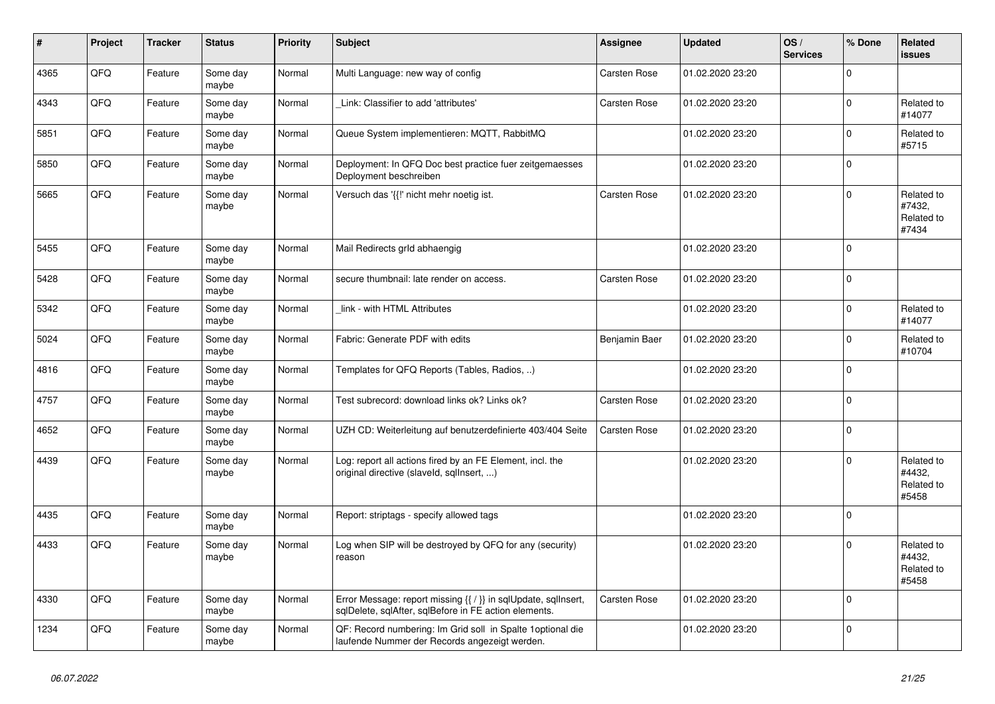| #    | Project | <b>Tracker</b> | <b>Status</b>     | <b>Priority</b> | <b>Subject</b>                                                                                                          | <b>Assignee</b>     | <b>Updated</b>   | OS/<br><b>Services</b> | % Done      | Related<br><b>issues</b>                    |
|------|---------|----------------|-------------------|-----------------|-------------------------------------------------------------------------------------------------------------------------|---------------------|------------------|------------------------|-------------|---------------------------------------------|
| 4365 | QFQ     | Feature        | Some day<br>maybe | Normal          | Multi Language: new way of config                                                                                       | <b>Carsten Rose</b> | 01.02.2020 23:20 |                        | $\Omega$    |                                             |
| 4343 | QFQ     | Feature        | Some day<br>maybe | Normal          | Link: Classifier to add 'attributes'                                                                                    | <b>Carsten Rose</b> | 01.02.2020 23:20 |                        | $\mathbf 0$ | Related to<br>#14077                        |
| 5851 | QFQ     | Feature        | Some day<br>maybe | Normal          | Queue System implementieren: MQTT, RabbitMQ                                                                             |                     | 01.02.2020 23:20 |                        | $\mathbf 0$ | Related to<br>#5715                         |
| 5850 | QFQ     | Feature        | Some day<br>maybe | Normal          | Deployment: In QFQ Doc best practice fuer zeitgemaesses<br>Deployment beschreiben                                       |                     | 01.02.2020 23:20 |                        | $\mathbf 0$ |                                             |
| 5665 | QFQ     | Feature        | Some day<br>maybe | Normal          | Versuch das '{{!' nicht mehr noetig ist.                                                                                | Carsten Rose        | 01.02.2020 23:20 |                        | $\mathbf 0$ | Related to<br>#7432,<br>Related to<br>#7434 |
| 5455 | QFQ     | Feature        | Some day<br>maybe | Normal          | Mail Redirects grld abhaengig                                                                                           |                     | 01.02.2020 23:20 |                        | $\mathbf 0$ |                                             |
| 5428 | QFQ     | Feature        | Some day<br>maybe | Normal          | secure thumbnail: late render on access.                                                                                | <b>Carsten Rose</b> | 01.02.2020 23:20 |                        | $\pmb{0}$   |                                             |
| 5342 | QFQ     | Feature        | Some day<br>maybe | Normal          | link - with HTML Attributes                                                                                             |                     | 01.02.2020 23:20 |                        | $\mathbf 0$ | Related to<br>#14077                        |
| 5024 | QFQ     | Feature        | Some day<br>maybe | Normal          | Fabric: Generate PDF with edits                                                                                         | Benjamin Baer       | 01.02.2020 23:20 |                        | $\mathbf 0$ | Related to<br>#10704                        |
| 4816 | QFQ     | Feature        | Some day<br>maybe | Normal          | Templates for QFQ Reports (Tables, Radios, )                                                                            |                     | 01.02.2020 23:20 |                        | $\Omega$    |                                             |
| 4757 | QFQ     | Feature        | Some day<br>maybe | Normal          | Test subrecord: download links ok? Links ok?                                                                            | <b>Carsten Rose</b> | 01.02.2020 23:20 |                        | $\mathbf 0$ |                                             |
| 4652 | QFQ     | Feature        | Some day<br>maybe | Normal          | UZH CD: Weiterleitung auf benutzerdefinierte 403/404 Seite                                                              | <b>Carsten Rose</b> | 01.02.2020 23:20 |                        | $\mathbf 0$ |                                             |
| 4439 | QFQ     | Feature        | Some day<br>maybe | Normal          | Log: report all actions fired by an FE Element, incl. the<br>original directive (slaveld, sqllnsert, )                  |                     | 01.02.2020 23:20 |                        | $\Omega$    | Related to<br>#4432.<br>Related to<br>#5458 |
| 4435 | QFQ     | Feature        | Some day<br>maybe | Normal          | Report: striptags - specify allowed tags                                                                                |                     | 01.02.2020 23:20 |                        | $\pmb{0}$   |                                             |
| 4433 | QFQ     | Feature        | Some day<br>maybe | Normal          | og when SIP will be destroyed by QFQ for any (security)<br>reason                                                       |                     | 01.02.2020 23:20 |                        | $\mathbf 0$ | Related to<br>#4432,<br>Related to<br>#5458 |
| 4330 | QFQ     | Feature        | Some day<br>maybe | Normal          | Error Message: report missing {{ / }} in sqlUpdate, sqlInsert,<br>sqlDelete, sqlAfter, sqlBefore in FE action elements. | Carsten Rose        | 01.02.2020 23:20 |                        | $\Omega$    |                                             |
| 1234 | QFQ     | Feature        | Some day<br>maybe | Normal          | QF: Record numbering: Im Grid soll in Spalte 1 optional die<br>laufende Nummer der Records angezeigt werden.            |                     | 01.02.2020 23:20 |                        | $\mathbf 0$ |                                             |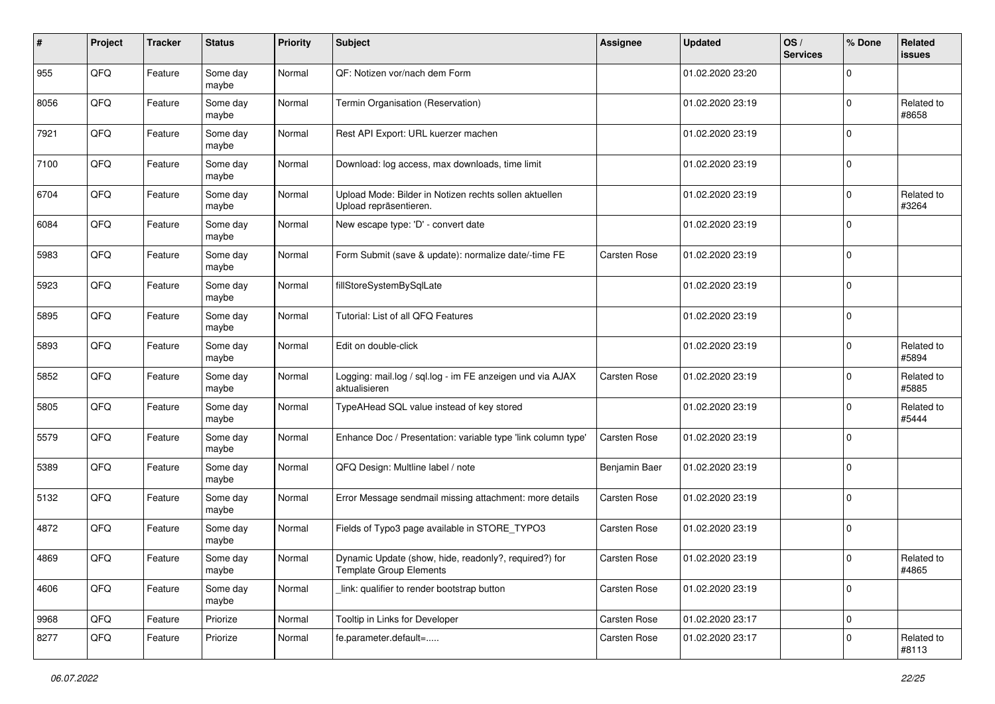| $\#$ | Project | <b>Tracker</b> | <b>Status</b>     | <b>Priority</b> | <b>Subject</b>                                                                   | <b>Assignee</b> | <b>Updated</b>   | OS/<br><b>Services</b> | % Done         | Related<br><b>issues</b> |
|------|---------|----------------|-------------------|-----------------|----------------------------------------------------------------------------------|-----------------|------------------|------------------------|----------------|--------------------------|
| 955  | QFQ     | Feature        | Some day<br>maybe | Normal          | QF: Notizen vor/nach dem Form                                                    |                 | 01.02.2020 23:20 |                        | $\Omega$       |                          |
| 8056 | QFQ     | Feature        | Some day<br>maybe | Normal          | Termin Organisation (Reservation)                                                |                 | 01.02.2020 23:19 |                        | $\mathbf 0$    | Related to<br>#8658      |
| 7921 | QFQ     | Feature        | Some day<br>maybe | Normal          | Rest API Export: URL kuerzer machen                                              |                 | 01.02.2020 23:19 |                        | $\Omega$       |                          |
| 7100 | QFQ     | Feature        | Some day<br>maybe | Normal          | Download: log access, max downloads, time limit                                  |                 | 01.02.2020 23:19 |                        | $\mathbf 0$    |                          |
| 6704 | QFQ     | Feature        | Some day<br>maybe | Normal          | Upload Mode: Bilder in Notizen rechts sollen aktuellen<br>Upload repräsentieren. |                 | 01.02.2020 23:19 |                        | $\mathbf 0$    | Related to<br>#3264      |
| 6084 | QFQ     | Feature        | Some day<br>maybe | Normal          | New escape type: 'D' - convert date                                              |                 | 01.02.2020 23:19 |                        | $\mathbf 0$    |                          |
| 5983 | QFQ     | Feature        | Some day<br>maybe | Normal          | Form Submit (save & update): normalize date/-time FE                             | Carsten Rose    | 01.02.2020 23:19 |                        | $\mathbf 0$    |                          |
| 5923 | QFQ     | Feature        | Some day<br>maybe | Normal          | fillStoreSystemBySqlLate                                                         |                 | 01.02.2020 23:19 |                        | $\mathbf 0$    |                          |
| 5895 | QFQ     | Feature        | Some day<br>maybe | Normal          | Tutorial: List of all QFQ Features                                               |                 | 01.02.2020 23:19 |                        | $\mathbf 0$    |                          |
| 5893 | QFQ     | Feature        | Some day<br>maybe | Normal          | Edit on double-click                                                             |                 | 01.02.2020 23:19 |                        | $\mathbf 0$    | Related to<br>#5894      |
| 5852 | QFQ     | Feature        | Some day<br>maybe | Normal          | Logging: mail.log / sql.log - im FE anzeigen und via AJAX<br>aktualisieren       | Carsten Rose    | 01.02.2020 23:19 |                        | $\mathbf 0$    | Related to<br>#5885      |
| 5805 | QFQ     | Feature        | Some day<br>maybe | Normal          | TypeAHead SQL value instead of key stored                                        |                 | 01.02.2020 23:19 |                        | $\Omega$       | Related to<br>#5444      |
| 5579 | QFQ     | Feature        | Some day<br>maybe | Normal          | Enhance Doc / Presentation: variable type 'link column type'                     | Carsten Rose    | 01.02.2020 23:19 |                        | $\mathbf 0$    |                          |
| 5389 | QFQ     | Feature        | Some day<br>maybe | Normal          | QFQ Design: Multline label / note                                                | Benjamin Baer   | 01.02.2020 23:19 |                        | $\mathbf 0$    |                          |
| 5132 | QFQ     | Feature        | Some day<br>maybe | Normal          | Error Message sendmail missing attachment: more details                          | Carsten Rose    | 01.02.2020 23:19 |                        | $\mathbf 0$    |                          |
| 4872 | QFQ     | Feature        | Some day<br>maybe | Normal          | Fields of Typo3 page available in STORE_TYPO3                                    | Carsten Rose    | 01.02.2020 23:19 |                        | $\mathbf 0$    |                          |
| 4869 | QFQ     | Feature        | Some day<br>maybe | Normal          | Dynamic Update (show, hide, readonly?, required?) for<br>Template Group Elements | Carsten Rose    | 01.02.2020 23:19 |                        | $\overline{0}$ | Related to<br>#4865      |
| 4606 | QFQ     | Feature        | Some day<br>maybe | Normal          | link: qualifier to render bootstrap button                                       | Carsten Rose    | 01.02.2020 23:19 |                        | $\mathbf 0$    |                          |
| 9968 | QFQ     | Feature        | Priorize          | Normal          | Tooltip in Links for Developer                                                   | Carsten Rose    | 01.02.2020 23:17 |                        | $\mathbf 0$    |                          |
| 8277 | QFQ     | Feature        | Priorize          | Normal          | fe.parameter.default=                                                            | Carsten Rose    | 01.02.2020 23:17 |                        | $\mathbf 0$    | Related to<br>#8113      |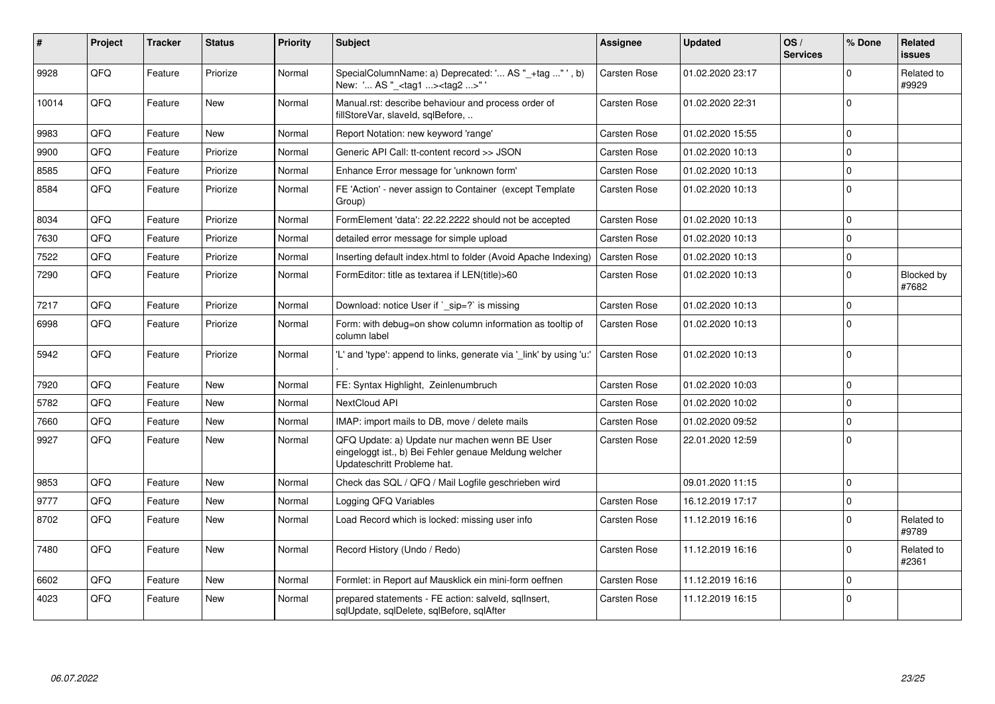| ∦     | Project | <b>Tracker</b> | <b>Status</b> | <b>Priority</b> | <b>Subject</b>                                                                                                                        | <b>Assignee</b>     | <b>Updated</b>   | OS/<br><b>Services</b> | % Done      | <b>Related</b><br><b>issues</b> |
|-------|---------|----------------|---------------|-----------------|---------------------------------------------------------------------------------------------------------------------------------------|---------------------|------------------|------------------------|-------------|---------------------------------|
| 9928  | QFQ     | Feature        | Priorize      | Normal          | SpecialColumnName: a) Deprecated: ' AS "_+tag "', b)<br>New: ' AS "_ <tag1><tag2>"</tag2></tag1>                                      | Carsten Rose        | 01.02.2020 23:17 |                        | $\Omega$    | Related to<br>#9929             |
| 10014 | QFQ     | Feature        | <b>New</b>    | Normal          | Manual.rst: describe behaviour and process order of<br>fillStoreVar, slaveId, sqlBefore,                                              | <b>Carsten Rose</b> | 01.02.2020 22:31 |                        | $\Omega$    |                                 |
| 9983  | QFQ     | Feature        | <b>New</b>    | Normal          | Report Notation: new keyword 'range'                                                                                                  | Carsten Rose        | 01.02.2020 15:55 |                        | $\Omega$    |                                 |
| 9900  | QFQ     | Feature        | Priorize      | Normal          | Generic API Call: tt-content record >> JSON                                                                                           | Carsten Rose        | 01.02.2020 10:13 |                        | $\Omega$    |                                 |
| 8585  | QFQ     | Feature        | Priorize      | Normal          | Enhance Error message for 'unknown form'                                                                                              | Carsten Rose        | 01.02.2020 10:13 |                        | $\mathbf 0$ |                                 |
| 8584  | QFQ     | Feature        | Priorize      | Normal          | FE 'Action' - never assign to Container (except Template<br>Group)                                                                    | <b>Carsten Rose</b> | 01.02.2020 10:13 |                        | $\mathbf 0$ |                                 |
| 8034  | QFQ     | Feature        | Priorize      | Normal          | FormElement 'data': 22.22.2222 should not be accepted                                                                                 | <b>Carsten Rose</b> | 01.02.2020 10:13 |                        | $\mathbf 0$ |                                 |
| 7630  | QFQ     | Feature        | Priorize      | Normal          | detailed error message for simple upload                                                                                              | <b>Carsten Rose</b> | 01.02.2020 10:13 |                        | $\Omega$    |                                 |
| 7522  | QFQ     | Feature        | Priorize      | Normal          | Inserting default index.html to folder (Avoid Apache Indexing)                                                                        | Carsten Rose        | 01.02.2020 10:13 |                        | $\Omega$    |                                 |
| 7290  | QFQ     | Feature        | Priorize      | Normal          | FormEditor: title as textarea if LEN(title)>60                                                                                        | Carsten Rose        | 01.02.2020 10:13 |                        | $\Omega$    | Blocked by<br>#7682             |
| 7217  | QFQ     | Feature        | Priorize      | Normal          | Download: notice User if `_sip=?` is missing                                                                                          | Carsten Rose        | 01.02.2020 10:13 |                        | $\Omega$    |                                 |
| 6998  | QFQ     | Feature        | Priorize      | Normal          | Form: with debug=on show column information as tooltip of<br>column label                                                             | <b>Carsten Rose</b> | 01.02.2020 10:13 |                        | $\Omega$    |                                 |
| 5942  | QFQ     | Feature        | Priorize      | Normal          | "L' and 'type': append to links, generate via ' link' by using 'u:"                                                                   | Carsten Rose        | 01.02.2020 10:13 |                        | $\Omega$    |                                 |
| 7920  | QFQ     | Feature        | <b>New</b>    | Normal          | FE: Syntax Highlight, Zeinlenumbruch                                                                                                  | <b>Carsten Rose</b> | 01.02.2020 10:03 |                        | $\mathbf 0$ |                                 |
| 5782  | QFQ     | Feature        | <b>New</b>    | Normal          | <b>NextCloud API</b>                                                                                                                  | Carsten Rose        | 01.02.2020 10:02 |                        | $\Omega$    |                                 |
| 7660  | QFQ     | Feature        | New           | Normal          | IMAP: import mails to DB, move / delete mails                                                                                         | <b>Carsten Rose</b> | 01.02.2020 09:52 |                        | $\mathbf 0$ |                                 |
| 9927  | QFQ     | Feature        | <b>New</b>    | Normal          | QFQ Update: a) Update nur machen wenn BE User<br>eingeloggt ist., b) Bei Fehler genaue Meldung welcher<br>Updateschritt Probleme hat. | Carsten Rose        | 22.01.2020 12:59 |                        | $\mathbf 0$ |                                 |
| 9853  | QFQ     | Feature        | <b>New</b>    | Normal          | Check das SQL / QFQ / Mail Logfile geschrieben wird                                                                                   |                     | 09.01.2020 11:15 |                        | $\Omega$    |                                 |
| 9777  | QFQ     | Feature        | New           | Normal          | Logging QFQ Variables                                                                                                                 | Carsten Rose        | 16.12.2019 17:17 |                        | $\mathbf 0$ |                                 |
| 8702  | QFQ     | Feature        | <b>New</b>    | Normal          | Load Record which is locked: missing user info                                                                                        | Carsten Rose        | 11.12.2019 16:16 |                        | $\Omega$    | Related to<br>#9789             |
| 7480  | QFQ     | Feature        | <b>New</b>    | Normal          | Record History (Undo / Redo)                                                                                                          | <b>Carsten Rose</b> | 11.12.2019 16:16 |                        | $\mathbf 0$ | Related to<br>#2361             |
| 6602  | QFQ     | Feature        | <b>New</b>    | Normal          | Formlet: in Report auf Mausklick ein mini-form oeffnen                                                                                | <b>Carsten Rose</b> | 11.12.2019 16:16 |                        | $\Omega$    |                                 |
| 4023  | QFQ     | Feature        | <b>New</b>    | Normal          | prepared statements - FE action: salveld, sqlInsert,<br>sqlUpdate, sqlDelete, sqlBefore, sqlAfter                                     | Carsten Rose        | 11.12.2019 16:15 |                        | $\mathbf 0$ |                                 |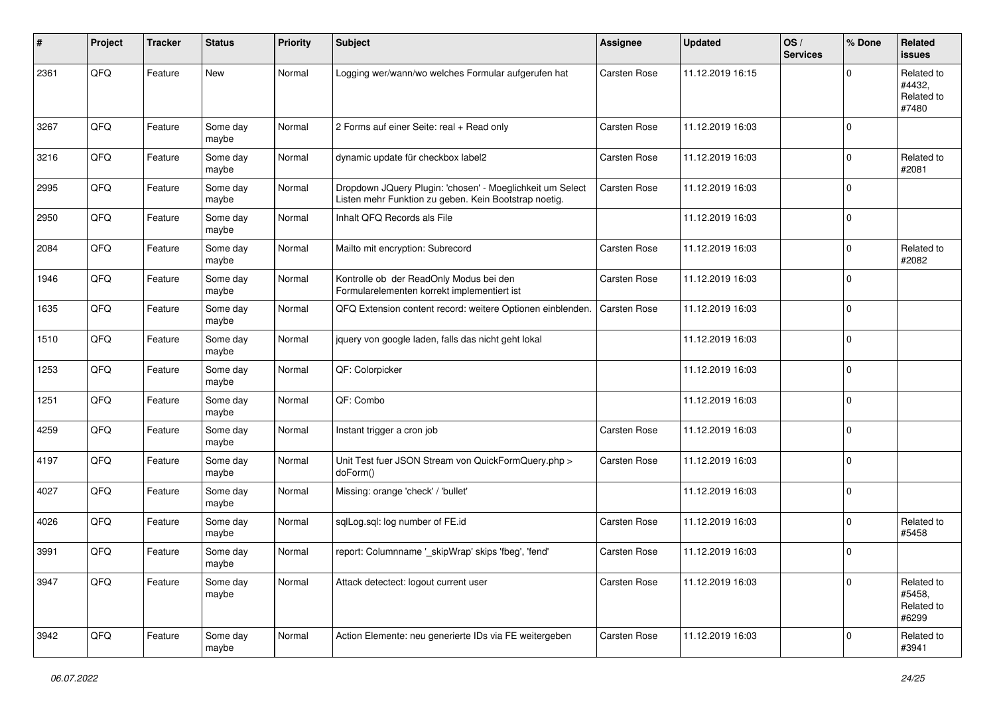| #    | Project | <b>Tracker</b> | <b>Status</b>     | <b>Priority</b> | <b>Subject</b>                                                                                                     | <b>Assignee</b> | <b>Updated</b>   | OS/<br><b>Services</b> | % Done      | Related<br>issues                           |
|------|---------|----------------|-------------------|-----------------|--------------------------------------------------------------------------------------------------------------------|-----------------|------------------|------------------------|-------------|---------------------------------------------|
| 2361 | QFQ     | Feature        | <b>New</b>        | Normal          | Logging wer/wann/wo welches Formular aufgerufen hat                                                                | Carsten Rose    | 11.12.2019 16:15 |                        | 0           | Related to<br>#4432.<br>Related to<br>#7480 |
| 3267 | QFQ     | Feature        | Some day<br>maybe | Normal          | 2 Forms auf einer Seite: real + Read only                                                                          | Carsten Rose    | 11.12.2019 16:03 |                        | $\mathbf 0$ |                                             |
| 3216 | QFQ     | Feature        | Some day<br>maybe | Normal          | dynamic update für checkbox label2                                                                                 | Carsten Rose    | 11.12.2019 16:03 |                        | $\mathbf 0$ | Related to<br>#2081                         |
| 2995 | QFQ     | Feature        | Some day<br>maybe | Normal          | Dropdown JQuery Plugin: 'chosen' - Moeglichkeit um Select<br>Listen mehr Funktion zu geben. Kein Bootstrap noetig. | Carsten Rose    | 11.12.2019 16:03 |                        | $\mathbf 0$ |                                             |
| 2950 | QFQ     | Feature        | Some day<br>maybe | Normal          | Inhalt QFQ Records als File                                                                                        |                 | 11.12.2019 16:03 |                        | $\mathbf 0$ |                                             |
| 2084 | QFQ     | Feature        | Some day<br>maybe | Normal          | Mailto mit encryption: Subrecord                                                                                   | Carsten Rose    | 11.12.2019 16:03 |                        | $\mathbf 0$ | Related to<br>#2082                         |
| 1946 | QFQ     | Feature        | Some day<br>maybe | Normal          | Kontrolle ob der ReadOnly Modus bei den<br>Formularelementen korrekt implementiert ist                             | Carsten Rose    | 11.12.2019 16:03 |                        | $\mathbf 0$ |                                             |
| 1635 | QFQ     | Feature        | Some day<br>maybe | Normal          | QFQ Extension content record: weitere Optionen einblenden.                                                         | Carsten Rose    | 11.12.2019 16:03 |                        | $\mathbf 0$ |                                             |
| 1510 | QFQ     | Feature        | Some day<br>maybe | Normal          | jquery von google laden, falls das nicht geht lokal                                                                |                 | 11.12.2019 16:03 |                        | $\mathbf 0$ |                                             |
| 1253 | QFQ     | Feature        | Some day<br>maybe | Normal          | QF: Colorpicker                                                                                                    |                 | 11.12.2019 16:03 |                        | $\mathbf 0$ |                                             |
| 1251 | QFQ     | Feature        | Some day<br>maybe | Normal          | QF: Combo                                                                                                          |                 | 11.12.2019 16:03 |                        | $\pmb{0}$   |                                             |
| 4259 | QFQ     | Feature        | Some day<br>maybe | Normal          | Instant trigger a cron job                                                                                         | Carsten Rose    | 11.12.2019 16:03 |                        | $\mathbf 0$ |                                             |
| 4197 | QFQ     | Feature        | Some day<br>maybe | Normal          | Unit Test fuer JSON Stream von QuickFormQuery.php ><br>doForm()                                                    | Carsten Rose    | 11.12.2019 16:03 |                        | $\mathbf 0$ |                                             |
| 4027 | QFQ     | Feature        | Some day<br>maybe | Normal          | Missing: orange 'check' / 'bullet'                                                                                 |                 | 11.12.2019 16:03 |                        | $\mathbf 0$ |                                             |
| 4026 | QFQ     | Feature        | Some day<br>maybe | Normal          | sqlLog.sql: log number of FE.id                                                                                    | Carsten Rose    | 11.12.2019 16:03 |                        | $\mathbf 0$ | Related to<br>#5458                         |
| 3991 | QFQ     | Feature        | Some day<br>maybe | Normal          | report: Columnname '_skipWrap' skips 'fbeg', 'fend'                                                                | Carsten Rose    | 11.12.2019 16:03 |                        | $\mathbf 0$ |                                             |
| 3947 | QFQ     | Feature        | Some day<br>maybe | Normal          | Attack detectect: logout current user                                                                              | Carsten Rose    | 11.12.2019 16:03 |                        | $\mathbf 0$ | Related to<br>#5458,<br>Related to<br>#6299 |
| 3942 | QFG     | Feature        | Some day<br>maybe | Normal          | Action Elemente: neu generierte IDs via FE weitergeben                                                             | Carsten Rose    | 11.12.2019 16:03 |                        | $\pmb{0}$   | Related to<br>#3941                         |